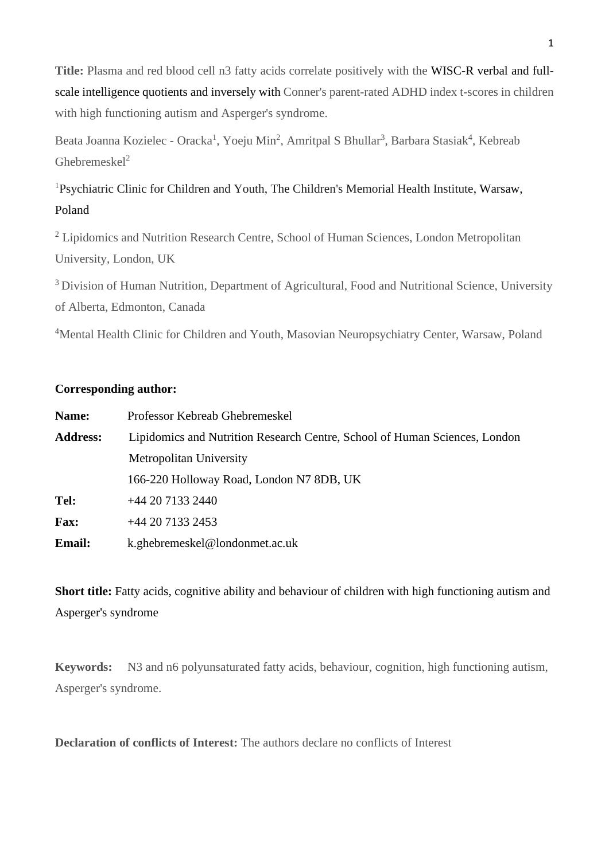**Title:** Plasma and red blood cell n3 fatty acids correlate positively with the WISC-R verbal and fullscale intelligence quotients and inversely with Conner's parent-rated ADHD index t-scores in children with high functioning autism and Asperger's syndrome.

Beata Joanna Kozielec - Oracka<sup>1</sup>, Yoeju Min<sup>2</sup>, Amritpal S Bhullar<sup>3</sup>, Barbara Stasiak<sup>4</sup>, Kebreab Ghebremeskel<sup>2</sup>

<sup>1</sup>Psychiatric Clinic for Children and Youth, The Children's Memorial Health Institute, Warsaw, Poland

<sup>2</sup> Lipidomics and Nutrition Research Centre, School of Human Sciences, London Metropolitan University, London, UK

<sup>3</sup> Division of Human Nutrition, Department of Agricultural, Food and Nutritional Science, University of Alberta, Edmonton, Canada

<sup>4</sup>Mental Health Clinic for Children and Youth, Masovian Neuropsychiatry Center, Warsaw, Poland

# **Corresponding author:**

| Name:           | Professor Kebreab Ghebremeskel                                             |
|-----------------|----------------------------------------------------------------------------|
| <b>Address:</b> | Lipidomics and Nutrition Research Centre, School of Human Sciences, London |
|                 | <b>Metropolitan University</b>                                             |
|                 | 166-220 Holloway Road, London N7 8DB, UK                                   |
| Tel:            | $+442071332440$                                                            |
| <b>Fax:</b>     | $+442071332453$                                                            |
| <b>Email:</b>   | k.ghebremeskel@londonmet.ac.uk                                             |

**Short title:** Fatty acids, cognitive ability and behaviour of children with high functioning autism and Asperger's syndrome

**Keywords:** N3 and n6 polyunsaturated fatty acids, behaviour, cognition, high functioning autism, Asperger's syndrome.

**Declaration of conflicts of Interest:** The authors declare no conflicts of Interest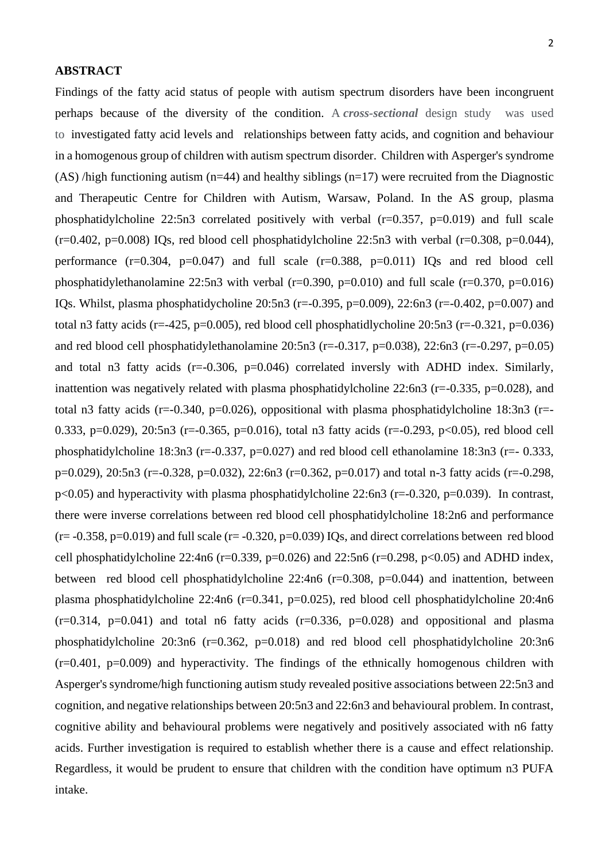### **ABSTRACT**

2 Findings of the fatty acid status of people with autism spectrum disorders have been incongruent perhaps because of the diversity of the condition. A *cross-sectional* design study was used to investigated fatty acid levels and relationships between fatty acids, and cognition and behaviour in a homogenous group of children with autism spectrum disorder. Children with Asperger's syndrome (AS) /high functioning autism (n=44) and healthy siblings (n=17) were recruited from the Diagnostic

and Therapeutic Centre for Children with Autism, Warsaw, Poland. In the AS group, plasma phosphatidylcholine 22:5n3 correlated positively with verbal  $(r=0.357, p=0.019)$  and full scale  $(r=0.402, p=0.008)$  IOs, red blood cell phosphatidylcholine 22:5n3 with verbal  $(r=0.308, p=0.044)$ , performance  $(r=0.304, p=0.047)$  and full scale  $(r=0.388, p=0.011)$  IQs and red blood cell phosphatidylethanolamine 22:5n3 with verbal ( $r=0.390$ ,  $p=0.010$ ) and full scale ( $r=0.370$ ,  $p=0.016$ ) IQs. Whilst, plasma phosphatidycholine 20:5n3 (r=-0.395, p=0.009), 22:6n3 (r=-0.402, p=0.007) and total n3 fatty acids (r=-425, p=0.005), red blood cell phosphatidlycholine  $20:5n3$  (r=-0.321, p=0.036) and red blood cell phosphatidylethanolamine  $20:5n3$  (r=-0.317, p=0.038), 22:6n3 (r=-0.297, p=0.05) and total n3 fatty acids (r=-0.306, p=0.046) correlated inversly with ADHD index. Similarly, inattention was negatively related with plasma phosphatidylcholine  $22:6n3$  (r=-0.335, p=0.028), and total n3 fatty acids ( $r=-0.340$ ,  $p=0.026$ ), oppositional with plasma phosphatidylcholine 18:3n3 ( $r=-$ 0.333, p=0.029), 20:5n3 (r=-0.365, p=0.016), total n3 fatty acids (r=-0.293, p<0.05), red blood cell phosphatidylcholine 18:3n3 (r=-0.337, p=0.027) and red blood cell ethanolamine 18:3n3 (r=-0.333, p=0.029), 20:5n3 (r=-0.328, p=0.032), 22:6n3 (r=0.362, p=0.017) and total n-3 fatty acids (r=-0.298,  $p<0.05$ ) and hyperactivity with plasma phosphatidylcholine 22:6n3 (r=-0.320, p=0.039). In contrast, there were inverse correlations between red blood cell phosphatidylcholine 18:2n6 and performance  $(r=-0.358, p=0.019)$  and full scale  $(r=-0.320, p=0.039)$  IQs, and direct correlations between red blood cell phosphatidylcholine 22:4n6 ( $r=0.339$ ,  $p=0.026$ ) and 22:5n6 ( $r=0.298$ ,  $p<0.05$ ) and ADHD index, between red blood cell phosphatidylcholine 22:4n6 (r=0.308, p=0.044) and inattention, between plasma phosphatidylcholine 22:4n6 (r=0.341, p=0.025), red blood cell phosphatidylcholine 20:4n6  $(r=0.314, p=0.041)$  and total n6 fatty acids  $(r=0.336, p=0.028)$  and oppositional and plasma phosphatidylcholine 20:3n6 (r=0.362, p=0.018) and red blood cell phosphatidylcholine 20:3n6  $(r=0.401, p=0.009)$  and hyperactivity. The findings of the ethnically homogenous children with Asperger's syndrome/high functioning autism study revealed positive associations between 22:5n3 and cognition, and negative relationships between 20:5n3 and 22:6n3 and behavioural problem. In contrast, cognitive ability and behavioural problems were negatively and positively associated with n6 fatty acids. Further investigation is required to establish whether there is a cause and effect relationship. Regardless, it would be prudent to ensure that children with the condition have optimum n3 PUFA intake.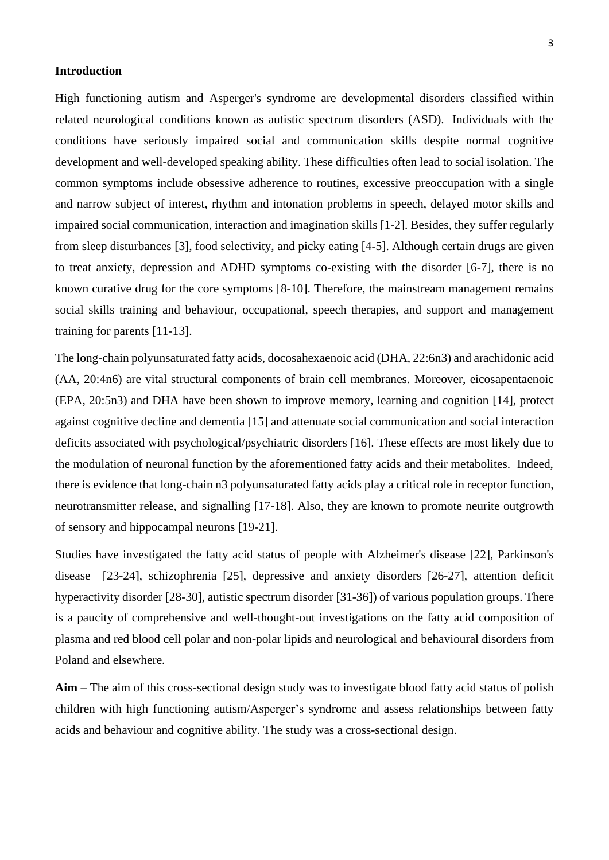#### **Introduction**

High functioning autism and Asperger's syndrome are developmental disorders classified within related neurological conditions known as autistic spectrum disorders (ASD). Individuals with the conditions have seriously impaired social and communication skills despite normal cognitive development and well-developed speaking ability. These difficulties often lead to social isolation. The common symptoms include obsessive adherence to routines, excessive preoccupation with a single and narrow subject of interest, rhythm and intonation problems in speech, delayed motor skills and impaired social communication, interaction and imagination skills [1-2]. Besides, they suffer regularly from sleep disturbances [3], food selectivity, and picky eating [4-5]. Although certain drugs are given to treat anxiety, depression and ADHD symptoms co-existing with the disorder [6-7], there is no known curative drug for the core symptoms [8-10]. Therefore, the mainstream management remains social skills training and behaviour, occupational, speech therapies, and support and management training for parents [11-13].

The long-chain polyunsaturated fatty acids, docosahexaenoic acid (DHA, 22:6n3) and arachidonic acid (AA, 20:4n6) are vital structural components of brain cell membranes. Moreover, eicosapentaenoic (EPA, 20:5n3) and DHA have been shown to improve memory, learning and cognition [14], protect against cognitive decline and dementia [15] and attenuate social communication and social interaction deficits associated with psychological/psychiatric disorders [16]. These effects are most likely due to the modulation of neuronal function by the aforementioned fatty acids and their metabolites. Indeed, there is evidence that long-chain n3 polyunsaturated fatty acids play a critical role in receptor function, neurotransmitter release, and signalling [17-18]. Also, they are known to promote neurite outgrowth of sensory and hippocampal neurons [19-21].

Studies have investigated the fatty acid status of people with Alzheimer's disease [22], Parkinson's disease [23-24], schizophrenia [25], depressive and anxiety disorders [26-27], attention deficit hyperactivity disorder [28-30], autistic spectrum disorder [31-36]) of various population groups. There is a paucity of comprehensive and well-thought-out investigations on the fatty acid composition of plasma and red blood cell polar and non-polar lipids and neurological and behavioural disorders from Poland and elsewhere.

**Aim –** The aim of this cross-sectional design study was to investigate blood fatty acid status of polish children with high functioning autism/Asperger's syndrome and assess relationships between fatty acids and behaviour and cognitive ability. The study was a cross-sectional design.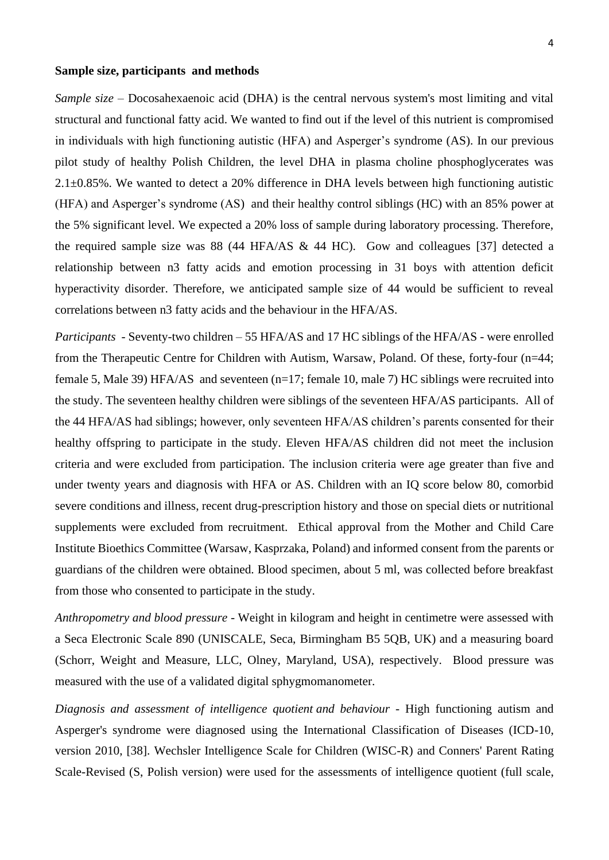#### **Sample size, participants and methods**

*Sample size* – Docosahexaenoic acid (DHA) is the central nervous system's most limiting and vital structural and functional fatty acid. We wanted to find out if the level of this nutrient is compromised in individuals with high functioning autistic (HFA) and Asperger's syndrome (AS). In our previous pilot study of healthy Polish Children, the level DHA in plasma choline phosphoglycerates was 2.1±0.85%. We wanted to detect a 20% difference in DHA levels between high functioning autistic (HFA) and Asperger's syndrome (AS) and their healthy control siblings (HC) with an 85% power at the 5% significant level. We expected a 20% loss of sample during laboratory processing. Therefore, the required sample size was 88 (44 HFA/AS & 44 HC). Gow and colleagues [37] detected a relationship between n3 fatty acids and emotion processing in 31 boys with attention deficit hyperactivity disorder. Therefore, we anticipated sample size of 44 would be sufficient to reveal correlations between n3 fatty acids and the behaviour in the HFA/AS.

*Participants -* Seventy-two children – 55 HFA/AS and 17 HC siblings of the HFA/AS - were enrolled from the Therapeutic Centre for Children with Autism, Warsaw, Poland. Of these, forty-four (n=44; female 5, Male 39) HFA/AS and seventeen (n=17; female 10, male 7) HC siblings were recruited into the study. The seventeen healthy children were siblings of the seventeen HFA/AS participants. All of the 44 HFA/AS had siblings; however, only seventeen HFA/AS children's parents consented for their healthy offspring to participate in the study. Eleven HFA/AS children did not meet the inclusion criteria and were excluded from participation. The inclusion criteria were age greater than five and under twenty years and diagnosis with HFA or AS. Children with an IQ score below 80, comorbid severe conditions and illness, recent drug-prescription history and those on special diets or nutritional supplements were excluded from recruitment. Ethical approval from the Mother and Child Care Institute Bioethics Committee (Warsaw, Kasprzaka, Poland) and informed consent from the parents or guardians of the children were obtained. Blood specimen, about 5 ml, was collected before breakfast from those who consented to participate in the study.

*Anthropometry and blood pressure -* Weight in kilogram and height in centimetre were assessed with a Seca Electronic Scale 890 (UNISCALE, Seca, Birmingham B5 5QB, UK) and a measuring board (Schorr, Weight and Measure, LLC, Olney, Maryland, USA), respectively. Blood pressure was measured with the use of a validated digital sphygmomanometer.

*Diagnosis and assessment of intelligence quotient and behaviour -* High functioning autism and Asperger's syndrome were diagnosed using the International Classification of Diseases (ICD-10, version 2010, [38]. Wechsler Intelligence Scale for Children (WISC-R) and Conners' Parent Rating Scale-Revised (S, Polish version) were used for the assessments of intelligence quotient (full scale,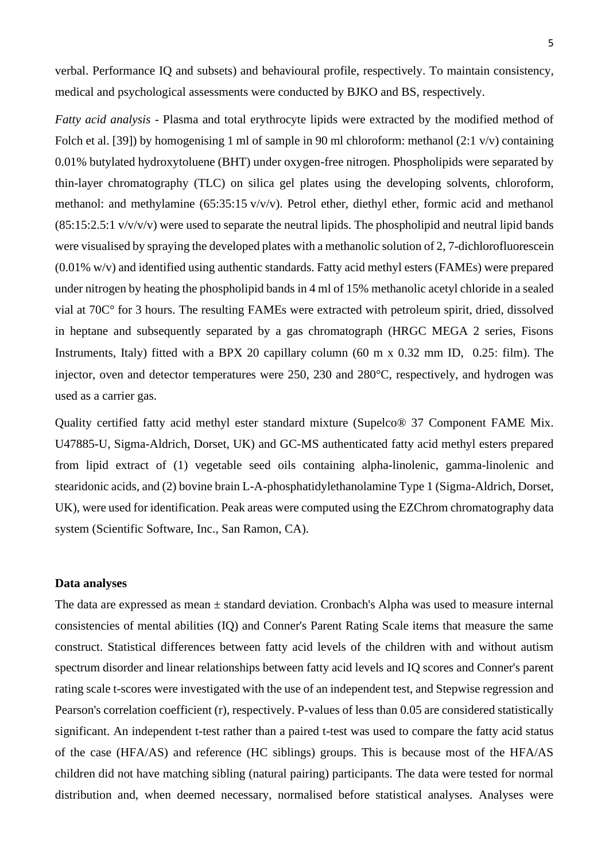verbal. Performance IQ and subsets) and behavioural profile, respectively. To maintain consistency, medical and psychological assessments were conducted by BJKO and BS, respectively.

*Fatty acid analysis -* Plasma and total erythrocyte lipids were extracted by the modified method of Folch et al. [39]) by homogenising 1 ml of sample in 90 ml chloroform: methanol (2:1 v/v) containing 0.01% butylated hydroxytoluene (BHT) under oxygen-free nitrogen. Phospholipids were separated by thin-layer chromatography (TLC) on silica gel plates using the developing solvents, chloroform, methanol: and methylamine (65:35:15 v/v/v). Petrol ether, diethyl ether, formic acid and methanol  $(85:15:2.5:1 \text{ v/v/v/v})$  were used to separate the neutral lipids. The phospholipid and neutral lipid bands were visualised by spraying the developed plates with a methanolic solution of 2, 7-dichlorofluorescein (0.01% w/v) and identified using authentic standards. Fatty acid methyl esters (FAMEs) were prepared under nitrogen by heating the phospholipid bands in 4 ml of 15% methanolic acetyl chloride in a sealed vial at 70C° for 3 hours. The resulting FAMEs were extracted with petroleum spirit, dried, dissolved in heptane and subsequently separated by a gas chromatograph (HRGC MEGA 2 series, Fisons Instruments, Italy) fitted with a BPX 20 capillary column  $(60 \text{ m x } 0.32 \text{ mm ID}, 0.25; \text{film})$ . The injector, oven and detector temperatures were 250, 230 and 280°C, respectively, and hydrogen was used as a carrier gas.

Quality certified fatty acid methyl ester standard mixture (Supelco® 37 Component FAME Mix. U47885-U, Sigma-Aldrich, Dorset, UK) and GC-MS authenticated fatty acid methyl esters prepared from lipid extract of (1) vegetable seed oils containing alpha-linolenic, gamma-linolenic and stearidonic acids, and (2) bovine brain L-A-phosphatidylethanolamine Type 1 (Sigma-Aldrich, Dorset, UK), were used for identification. Peak areas were computed using the EZChrom chromatography data system (Scientific Software, Inc., San Ramon, CA).

## **Data analyses**

The data are expressed as mean  $\pm$  standard deviation. Cronbach's Alpha was used to measure internal consistencies of mental abilities (IQ) and Conner's Parent Rating Scale items that measure the same construct. Statistical differences between fatty acid levels of the children with and without autism spectrum disorder and linear relationships between fatty acid levels and IQ scores and Conner's parent rating scale t-scores were investigated with the use of an independent test, and Stepwise regression and Pearson's correlation coefficient (r), respectively. P-values of less than 0.05 are considered statistically significant. An independent t-test rather than a paired t-test was used to compare the fatty acid status of the case (HFA/AS) and reference (HC siblings) groups. This is because most of the HFA/AS children did not have matching sibling (natural pairing) participants. The data were tested for normal distribution and, when deemed necessary, normalised before statistical analyses. Analyses were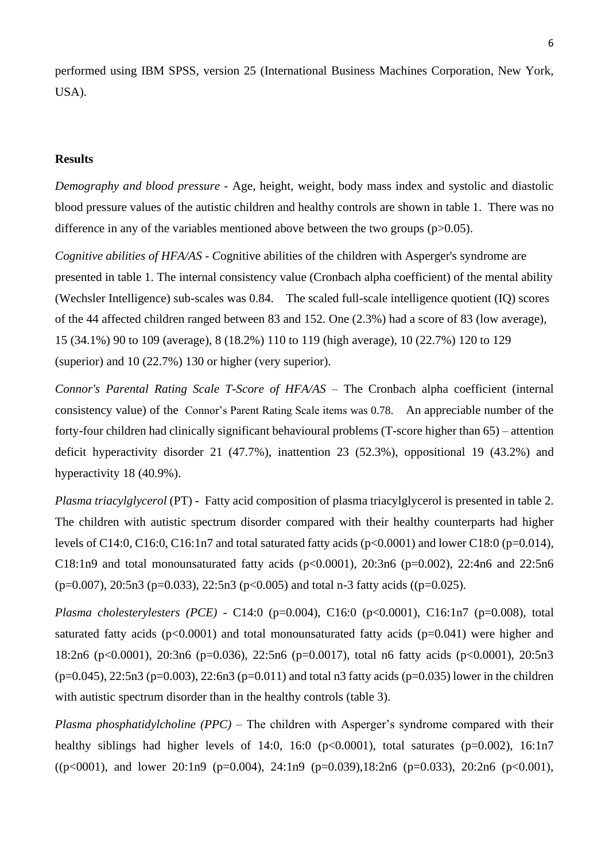performed using IBM SPSS, version 25 (International Business Machines Corporation, New York, USA).

### **Results**

*Demography and blood pressure -* Age, height, weight, body mass index and systolic and diastolic blood pressure values of the autistic children and healthy controls are shown in table 1. There was no difference in any of the variables mentioned above between the two groups (p>0.05).

*Cognitive abilities of HFA/AS - Cognitive abilities of the children with Asperger's syndrome are* presented in table 1. The internal consistency value (Cronbach alpha coefficient) of the mental ability (Wechsler Intelligence) sub-scales was 0.84. The scaled full-scale intelligence quotient (IQ) scores of the 44 affected children ranged between 83 and 152. One (2.3%) had a score of 83 (low average), 15 (34.1%) 90 to 109 (average), 8 (18.2%) 110 to 119 (high average), 10 (22.7%) 120 to 129 (superior) and 10 (22.7%) 130 or higher (very superior).

*Connor's Parental Rating Scale T-Score of HFA/AS –* The Cronbach alpha coefficient (internal consistency value) of the Connor's Parent Rating Scale items was 0.78. An appreciable number of the forty-four children had clinically significant behavioural problems (T-score higher than 65) – attention deficit hyperactivity disorder 21 (47.7%), inattention 23 (52.3%), oppositional 19 (43.2%) and hyperactivity 18 (40.9%).

*Plasma triacylglycerol* (PT) - Fatty acid composition of plasma triacylglycerol is presented in table 2. The children with autistic spectrum disorder compared with their healthy counterparts had higher levels of C14:0, C16:0, C16:1n7 and total saturated fatty acids ( $p<0.0001$ ) and lower C18:0 ( $p=0.014$ ), C18:1n9 and total monounsaturated fatty acids ( $p<0.0001$ ),  $20:3n6$  ( $p=0.002$ ),  $22:4n6$  and  $22:5n6$ (p=0.007), 20:5n3 (p=0.033), 22:5n3 (p<0.005) and total n-3 fatty acids ((p=0.025).

*Plasma cholesterylesters (PCE) -* C14:0 (p=0.004), C16:0 (p<0.0001), C16:1n7 (p=0.008), total saturated fatty acids ( $p<0.0001$ ) and total monounsaturated fatty acids ( $p=0.041$ ) were higher and 18:2n6 (p<0.0001), 20:3n6 (p=0.036), 22:5n6 (p=0.0017), total n6 fatty acids (p<0.0001), 20:5n3  $(p=0.045)$ ,  $22:5n3$  (p=0.003),  $22:6n3$  (p=0.011) and total n3 fatty acids (p=0.035) lower in the children with autistic spectrum disorder than in the healthy controls (table 3).

*Plasma phosphatidylcholine (PPC)* – The children with Asperger's syndrome compared with their healthy siblings had higher levels of 14:0, 16:0 ( $p<0.0001$ ), total saturates ( $p=0.002$ ), 16:1n7  $((p<0001)$ , and lower 20:1n9 (p=0.004), 24:1n9 (p=0.039),18:2n6 (p=0.033), 20:2n6 (p<0.001),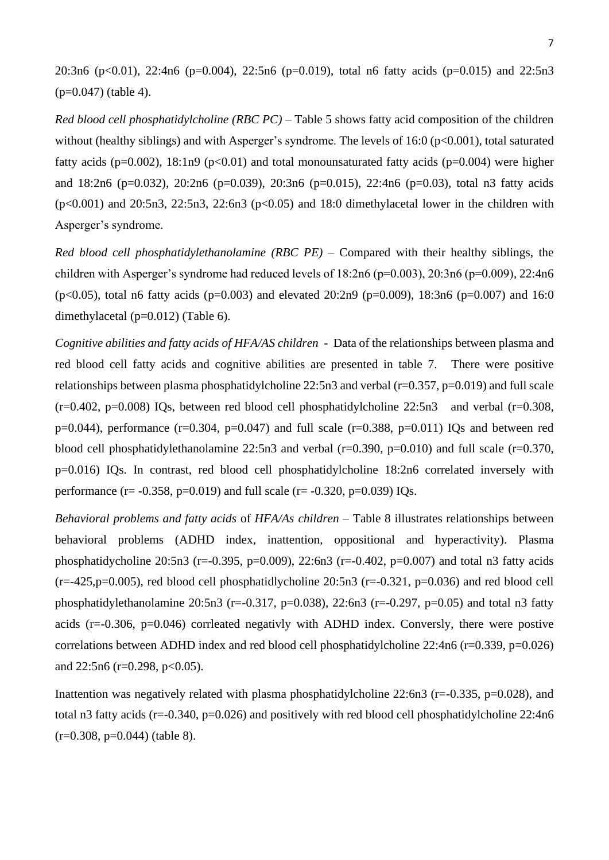20:3n6 (p<0.01), 22:4n6 (p=0.004), 22:5n6 (p=0.019), total n6 fatty acids (p=0.015) and 22:5n3 (p=0.047) (table 4).

*Red blood cell phosphatidylcholine (RBC PC)* – Table 5 shows fatty acid composition of the children without (healthy siblings) and with Asperger's syndrome. The levels of 16:0 (p<0.001), total saturated fatty acids ( $p=0.002$ ), 18:1n9 ( $p<0.01$ ) and total monounsaturated fatty acids ( $p=0.004$ ) were higher and 18:2n6 (p=0.032), 20:2n6 (p=0.039), 20:3n6 (p=0.015), 22:4n6 (p=0.03), total n3 fatty acids  $(p<0.001)$  and 20:5n3, 22:5n3, 22:6n3 ( $p<0.05$ ) and 18:0 dimethylacetal lower in the children with Asperger's syndrome.

*Red blood cell phosphatidylethanolamine (RBC PE)* – Compared with their healthy siblings, the children with Asperger's syndrome had reduced levels of  $18:2n6$  ( $p=0.003$ ),  $20:3n6$  ( $p=0.009$ ),  $22:4n6$ (p<0.05), total n6 fatty acids (p=0.003) and elevated 20:2n9 (p=0.009), 18:3n6 (p=0.007) and 16:0 dimethylacetal (p=0.012) (Table 6).

*Cognitive abilities and fatty acids of HFA/AS children* - Data of the relationships between plasma and red blood cell fatty acids and cognitive abilities are presented in table 7. There were positive relationships between plasma phosphatidylcholine  $22:5n3$  and verbal ( $r=0.357$ ,  $p=0.019$ ) and full scale  $(r=0.402, p=0.008)$  IQs, between red blood cell phosphatidylcholine 22:5n3 and verbal (r=0.308,  $p=0.044$ ), performance (r=0.304, p=0.047) and full scale (r=0.388, p=0.011) IQs and between red blood cell phosphatidylethanolamine 22:5n3 and verbal (r=0.390, p=0.010) and full scale (r=0.370, p=0.016) IQs. In contrast, red blood cell phosphatidylcholine 18:2n6 correlated inversely with performance (r=  $-0.358$ , p=0.019) and full scale (r=  $-0.320$ , p=0.039) IQs.

*Behavioral problems and fatty acids* of *HFA/As children* – Table 8 illustrates relationships between behavioral problems (ADHD index, inattention, oppositional and hyperactivity). Plasma phosphatidycholine 20:5n3 (r=-0.395, p=0.009), 22:6n3 (r=-0.402, p=0.007) and total n3 fatty acids  $(r=-425, p=0.005)$ , red blood cell phosphatidlycholine 20:5n3  $(r=-0.321, p=0.036)$  and red blood cell phosphatidylethanolamine 20:5n3 (r=-0.317, p=0.038), 22:6n3 (r=-0.297, p=0.05) and total n3 fatty acids (r=-0.306, p=0.046) corrleated negativly with ADHD index. Conversly, there were postive correlations between ADHD index and red blood cell phosphatidylcholine 22:4n6 (r=0.339, p=0.026) and  $22:5n6$  (r=0.298, p<0.05).

Inattention was negatively related with plasma phosphatidylcholine  $22:6n3$  (r=-0.335, p=0.028), and total n3 fatty acids (r=-0.340, p=0.026) and positively with red blood cell phosphatidylcholine 22:4n6  $(r=0.308, p=0.044)$  (table 8).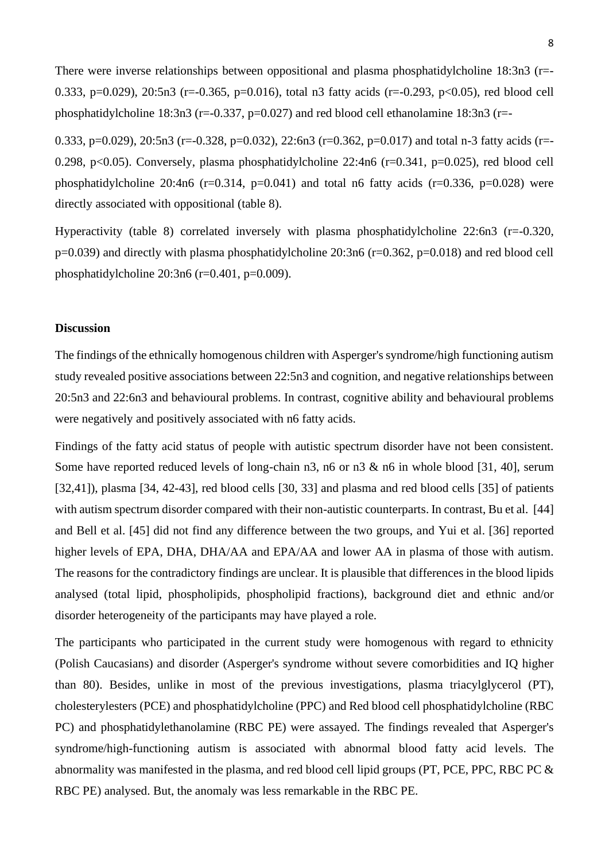There were inverse relationships between oppositional and plasma phosphatidylcholine 18:3n3 (r=-0.333, p=0.029), 20:5n3 (r=-0.365, p=0.016), total n3 fatty acids (r=-0.293, p<0.05), red blood cell phosphatidylcholine 18:3n3 ( $r=-0.337$ ,  $p=0.027$ ) and red blood cell ethanolamine 18:3n3 ( $r=-$ 

0.333, p=0.029), 20:5n3 (r=-0.328, p=0.032), 22:6n3 (r=0.362, p=0.017) and total n-3 fatty acids (r=-0.298, p<0.05). Conversely, plasma phosphatidylcholine  $22:4n6$  (r=0.341, p=0.025), red blood cell phosphatidylcholine 20:4n6 ( $r=0.314$ ,  $p=0.041$ ) and total n6 fatty acids ( $r=0.336$ ,  $p=0.028$ ) were directly associated with oppositional (table 8).

Hyperactivity (table 8) correlated inversely with plasma phosphatidylcholine 22:6n3 (r=-0.320,  $p=0.039$ ) and directly with plasma phosphatidylcholine 20:3n6 ( $r=0.362$ ,  $p=0.018$ ) and red blood cell phosphatidylcholine  $20:3n6$  (r=0.401, p=0.009).

### **Discussion**

The findings of the ethnically homogenous children with Asperger's syndrome/high functioning autism study revealed positive associations between 22:5n3 and cognition, and negative relationships between 20:5n3 and 22:6n3 and behavioural problems. In contrast, cognitive ability and behavioural problems were negatively and positively associated with n6 fatty acids.

Findings of the fatty acid status of people with autistic spectrum disorder have not been consistent. Some have reported reduced levels of long-chain n3, n6 or n3 & n6 in whole blood [31, 40], serum [32,41]), plasma [34, 42-43], red blood cells [30, 33] and plasma and red blood cells [35] of patients with autism spectrum disorder compared with their non-autistic counterparts. In contrast, Bu et al. [44] and Bell et al. [45] did not find any difference between the two groups, and Yui et al. [36] reported higher levels of EPA, DHA, DHA/AA and EPA/AA and lower AA in plasma of those with autism. The reasons for the contradictory findings are unclear. It is plausible that differences in the blood lipids analysed (total lipid, phospholipids, phospholipid fractions), background diet and ethnic and/or disorder heterogeneity of the participants may have played a role.

The participants who participated in the current study were homogenous with regard to ethnicity (Polish Caucasians) and disorder (Asperger's syndrome without severe comorbidities and IQ higher than 80). Besides, unlike in most of the previous investigations, plasma triacylglycerol (PT), cholesterylesters (PCE) and phosphatidylcholine (PPC) and Red blood cell phosphatidylcholine (RBC PC) and phosphatidylethanolamine (RBC PE) were assayed. The findings revealed that Asperger's syndrome/high-functioning autism is associated with abnormal blood fatty acid levels. The abnormality was manifested in the plasma, and red blood cell lipid groups (PT, PCE, PPC, RBC PC & RBC PE) analysed. But, the anomaly was less remarkable in the RBC PE.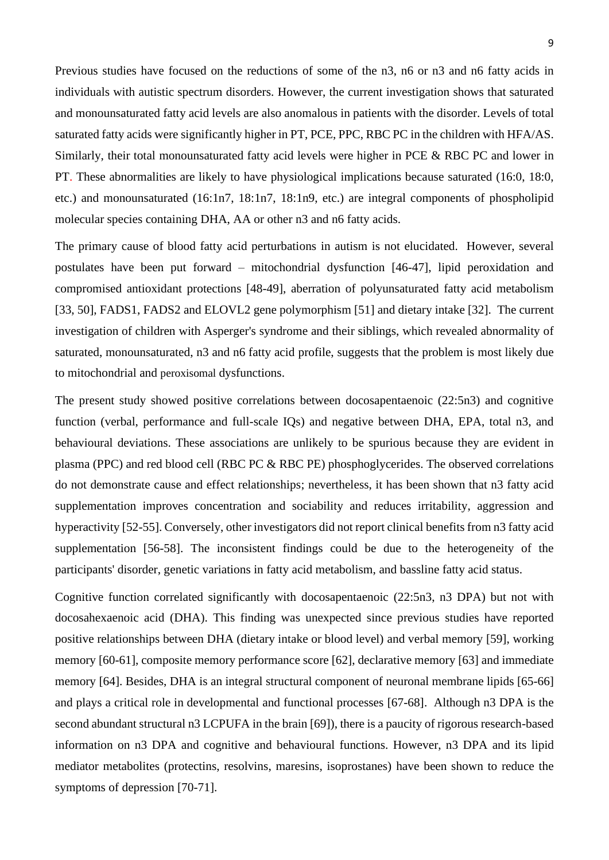Previous studies have focused on the reductions of some of the n3, n6 or n3 and n6 fatty acids in individuals with autistic spectrum disorders. However, the current investigation shows that saturated and monounsaturated fatty acid levels are also anomalous in patients with the disorder. Levels of total saturated fatty acids were significantly higher in PT, PCE, PPC, RBC PC in the children with HFA/AS. Similarly, their total monounsaturated fatty acid levels were higher in PCE & RBC PC and lower in PT. These abnormalities are likely to have physiological implications because saturated (16:0, 18:0, etc.) and monounsaturated (16:1n7, 18:1n7, 18:1n9, etc.) are integral components of phospholipid molecular species containing DHA, AA or other n3 and n6 fatty acids.

The primary cause of blood fatty acid perturbations in autism is not elucidated. However, several postulates have been put forward – mitochondrial dysfunction [46-47], lipid peroxidation and compromised antioxidant protections [48-49], aberration of polyunsaturated fatty acid metabolism [33, 50], FADS1, FADS2 and ELOVL2 gene polymorphism [51] and dietary intake [32]. The current investigation of children with Asperger's syndrome and their siblings, which revealed abnormality of saturated, monounsaturated, n3 and n6 fatty acid profile, suggests that the problem is most likely due to mitochondrial and peroxisomal dysfunctions.

The present study showed positive correlations between docosapentaenoic (22:5n3) and cognitive function (verbal, performance and full-scale IQs) and negative between DHA, EPA, total n3, and behavioural deviations. These associations are unlikely to be spurious because they are evident in plasma (PPC) and red blood cell (RBC PC & RBC PE) phosphoglycerides. The observed correlations do not demonstrate cause and effect relationships; nevertheless, it has been shown that n3 fatty acid supplementation improves concentration and sociability and reduces irritability, aggression and hyperactivity [52-55]. Conversely, other investigators did not report clinical benefits from n3 fatty acid supplementation [56-58]. The inconsistent findings could be due to the heterogeneity of the participants' disorder, genetic variations in fatty acid metabolism, and bassline fatty acid status.

Cognitive function correlated significantly with docosapentaenoic (22:5n3, n3 DPA) but not with docosahexaenoic acid (DHA). This finding was unexpected since previous studies have reported positive relationships between DHA (dietary intake or blood level) and verbal memory [59], working memory [60-61], composite memory performance score [62], declarative memory [63] and immediate memory [64]. Besides, DHA is an integral structural component of neuronal membrane lipids [65-66] and plays a critical role in developmental and functional processes [67-68]. Although n3 DPA is the second abundant structural n3 LCPUFA in the brain [69]), there is a paucity of rigorous research-based information on n3 DPA and cognitive and behavioural functions. However, n3 DPA and its lipid mediator metabolites (protectins, resolvins, maresins, isoprostanes) have been shown to reduce the symptoms of depression [70-71].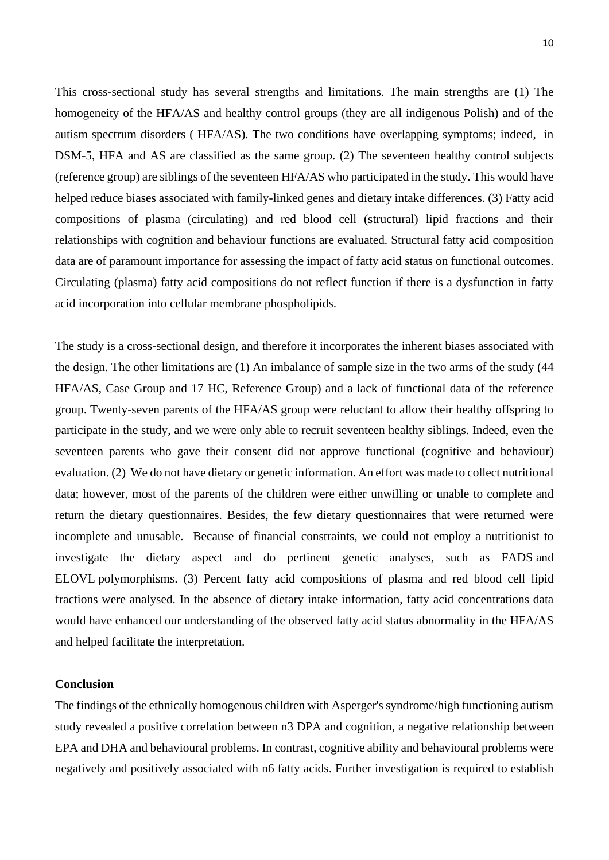This cross-sectional study has several strengths and limitations. The main strengths are (1) The homogeneity of the HFA/AS and healthy control groups (they are all indigenous Polish) and of the autism spectrum disorders ( HFA/AS). The two conditions have overlapping symptoms; indeed, in DSM-5, HFA and AS are classified as the same group. (2) The seventeen healthy control subjects (reference group) are siblings of the seventeen HFA/AS who participated in the study. This would have helped reduce biases associated with family-linked genes and dietary intake differences. (3) Fatty acid compositions of plasma (circulating) and red blood cell (structural) lipid fractions and their relationships with cognition and behaviour functions are evaluated. Structural fatty acid composition data are of paramount importance for assessing the impact of fatty acid status on functional outcomes. Circulating (plasma) fatty acid compositions do not reflect function if there is a dysfunction in fatty acid incorporation into cellular membrane phospholipids.

The study is a cross-sectional design, and therefore it incorporates the inherent biases associated with the design. The other limitations are (1) An imbalance of sample size in the two arms of the study (44 HFA/AS, Case Group and 17 HC, Reference Group) and a lack of functional data of the reference group. Twenty-seven parents of the HFA/AS group were reluctant to allow their healthy offspring to participate in the study, and we were only able to recruit seventeen healthy siblings. Indeed, even the seventeen parents who gave their consent did not approve functional (cognitive and behaviour) evaluation. (2) We do not have dietary or genetic information. An effort was made to collect nutritional data; however, most of the parents of the children were either unwilling or unable to complete and return the dietary questionnaires. Besides, the few dietary questionnaires that were returned were incomplete and unusable. Because of financial constraints, we could not employ a nutritionist to investigate the dietary aspect and do pertinent genetic analyses, such as FADS and ELOVL polymorphisms. (3) Percent fatty acid compositions of plasma and red blood cell lipid fractions were analysed. In the absence of dietary intake information, fatty acid concentrations data would have enhanced our understanding of the observed fatty acid status abnormality in the HFA/AS and helped facilitate the interpretation.

### **Conclusion**

The findings of the ethnically homogenous children with Asperger's syndrome/high functioning autism study revealed a positive correlation between n3 DPA and cognition, a negative relationship between EPA and DHA and behavioural problems. In contrast, cognitive ability and behavioural problems were negatively and positively associated with n6 fatty acids. Further investigation is required to establish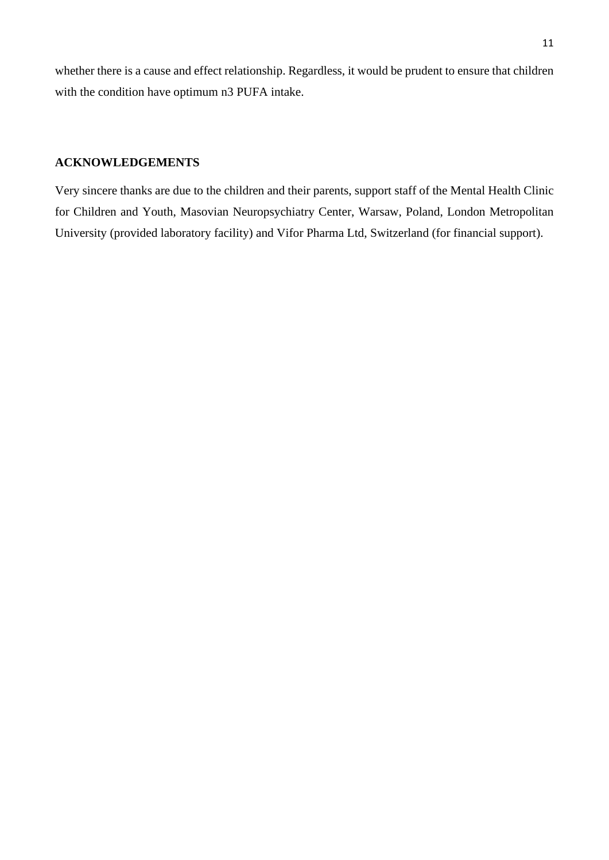whether there is a cause and effect relationship. Regardless, it would be prudent to ensure that children with the condition have optimum n3 PUFA intake.

## **ACKNOWLEDGEMENTS**

Very sincere thanks are due to the children and their parents, support staff of the Mental Health Clinic for Children and Youth, Masovian Neuropsychiatry Center, Warsaw, Poland, London Metropolitan University (provided laboratory facility) and Vifor Pharma Ltd, Switzerland (for financial support).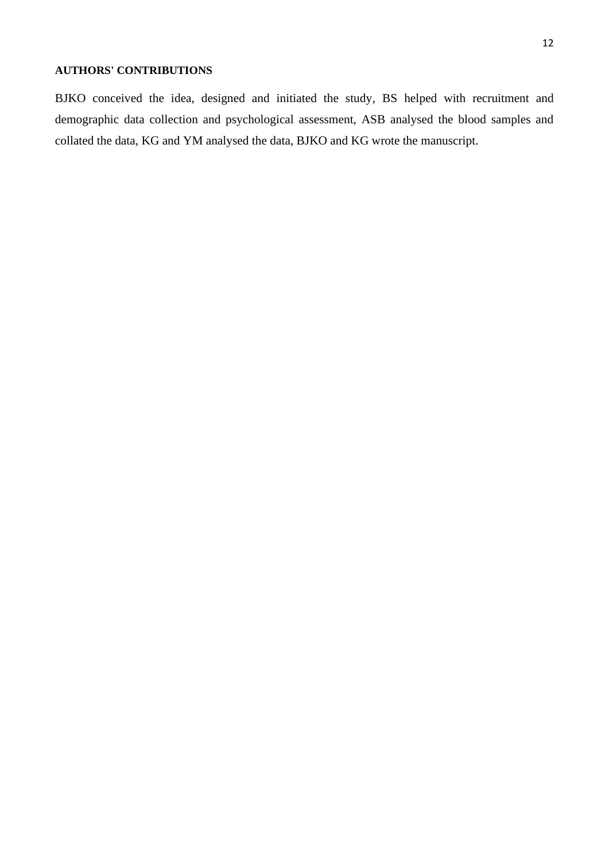BJKO conceived the idea, designed and initiated the study, BS helped with recruitment and demographic data collection and psychological assessment, ASB analysed the blood samples and collated the data, KG and YM analysed the data, BJKO and KG wrote the manuscript.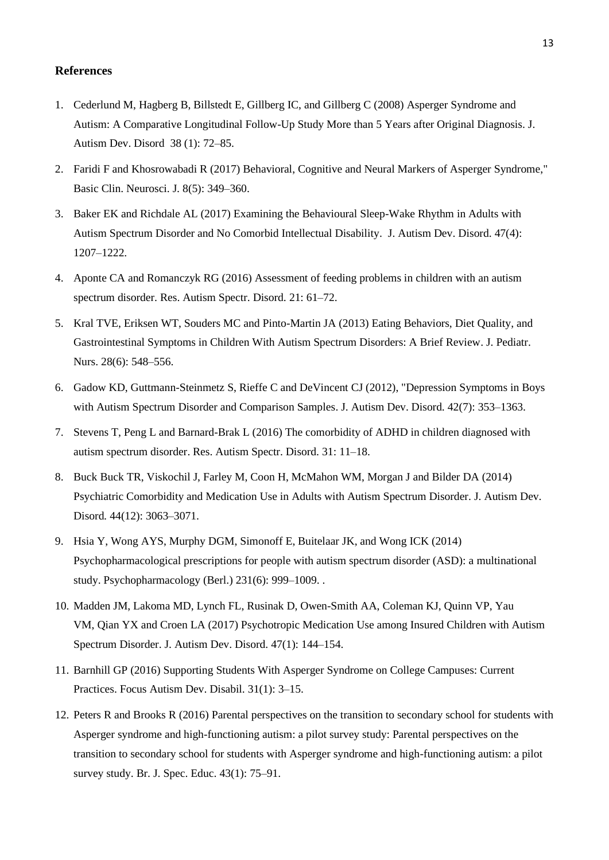#### **References**

- 1. Cederlund M, Hagberg B, Billstedt E, Gillberg IC, and Gillberg C (2008) Asperger Syndrome and Autism: A Comparative Longitudinal Follow-Up Study More than 5 Years after Original Diagnosis. J. Autism Dev. Disord 38 (1): 72–85.
- 2. Faridi F and Khosrowabadi R (2017) Behavioral, Cognitive and Neural Markers of Asperger Syndrome," Basic Clin. Neurosci. J*.* 8(5): 349–360.
- 3. Baker EK and Richdale AL (2017) Examining the Behavioural Sleep-Wake Rhythm in Adults with Autism Spectrum Disorder and No Comorbid Intellectual Disability. J. Autism Dev. Disord. 47(4): 1207–1222.
- 4. Aponte CA and Romanczyk RG (2016) Assessment of feeding problems in children with an autism spectrum disorder. Res. Autism Spectr. Disord. 21: 61–72.
- 5. Kral TVE, Eriksen WT, Souders MC and Pinto-Martin JA (2013) Eating Behaviors, Diet Quality, and Gastrointestinal Symptoms in Children With Autism Spectrum Disorders: A Brief Review. J. Pediatr. Nurs. 28(6): 548–556.
- 6. Gadow KD, Guttmann-Steinmetz S, Rieffe C and DeVincent CJ (2012), "Depression Symptoms in Boys with Autism Spectrum Disorder and Comparison Samples. J. Autism Dev. Disord. 42(7): 353–1363.
- 7. Stevens T, Peng L and Barnard-Brak L (2016) The comorbidity of ADHD in children diagnosed with autism spectrum disorder. Res. Autism Spectr. Disord. 31: 11–18.
- 8. Buck Buck TR, Viskochil J, Farley M, Coon H, McMahon WM, Morgan J and Bilder DA (2014) Psychiatric Comorbidity and Medication Use in Adults with Autism Spectrum Disorder. J. Autism Dev. Disord*.* 44(12): 3063–3071.
- 9. Hsia Y, Wong AYS, Murphy DGM, Simonoff E, Buitelaar JK, and Wong ICK (2014) Psychopharmacological prescriptions for people with autism spectrum disorder (ASD): a multinational study. Psychopharmacology (Berl.) 231(6): 999–1009. .
- 10. Madden JM, Lakoma MD, Lynch FL, Rusinak D, Owen-Smith AA, Coleman KJ, Quinn VP, Yau VM, Qian YX and Croen LA (2017) Psychotropic Medication Use among Insured Children with Autism Spectrum Disorder. J. Autism Dev. Disord. 47(1): 144–154.
- 11. Barnhill GP (2016) Supporting Students With Asperger Syndrome on College Campuses: Current Practices. Focus Autism Dev. Disabil. 31(1): 3–15.
- 12. Peters R and Brooks R (2016) Parental perspectives on the transition to secondary school for students with Asperger syndrome and high-functioning autism: a pilot survey study: Parental perspectives on the transition to secondary school for students with Asperger syndrome and high-functioning autism: a pilot survey study. Br. J. Spec. Educ. 43(1): 75–91.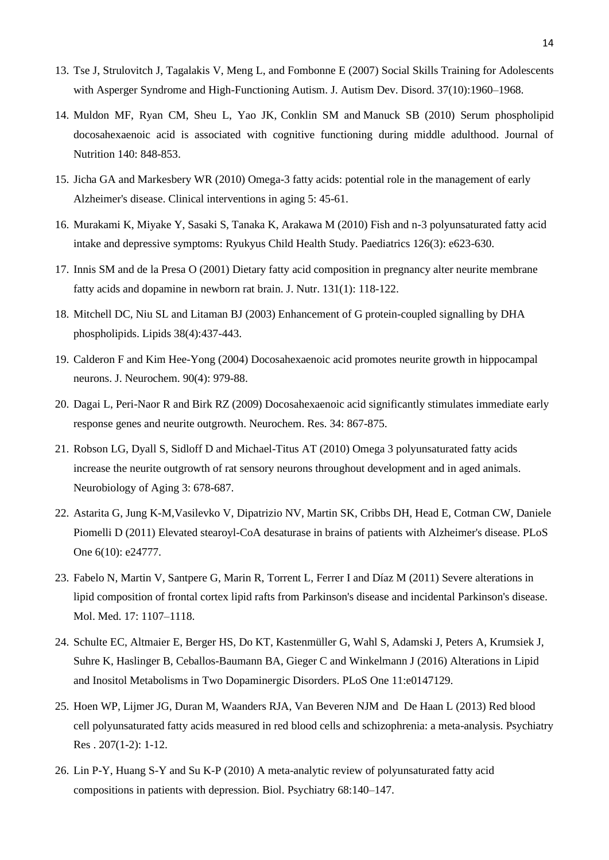- 13. Tse J, Strulovitch J, Tagalakis V, Meng L, and Fombonne E (2007) Social Skills Training for Adolescents with Asperger Syndrome and High-Functioning Autism. J. Autism Dev. Disord. 37(10):1960–1968.
- 14. Muldon MF, Ryan CM, Sheu L, Yao JK, Conklin SM and Manuck SB (2010) Serum phospholipid docosahexaenoic acid is associated with cognitive functioning during middle adulthood. Journal of Nutrition 140: 848-853.
- 15. Jicha GA and Markesbery WR (2010) Omega-3 fatty acids: potential role in the management of early Alzheimer's disease. Clinical interventions in aging 5: 45-61.
- 16. Murakami K, Miyake Y, Sasaki S, Tanaka K, Arakawa M (2010) Fish and n-3 polyunsaturated fatty acid intake and depressive symptoms: Ryukyus Child Health Study. Paediatrics 126(3): e623-630.
- 17. Innis SM and de la Presa O (2001) Dietary fatty acid composition in pregnancy alter neurite membrane fatty acids and dopamine in newborn rat brain. J. Nutr. 131(1): 118-122.
- 18. Mitchell DC, Niu SL and Litaman BJ (2003) Enhancement of G protein-coupled signalling by DHA phospholipids. Lipids 38(4):437-443.
- 19. Calderon F and Kim Hee-Yong (2004) Docosahexaenoic acid promotes neurite growth in hippocampal neurons. J. Neurochem. 90(4): 979-88.
- 20. Dagai L, Peri-Naor R and Birk RZ (2009) Docosahexaenoic acid significantly stimulates immediate early response genes and neurite outgrowth. Neurochem. Res. 34: 867-875.
- 21. Robson LG, Dyall S, Sidloff D and Michael-Titus AT (2010) Omega 3 polyunsaturated fatty acids increase the neurite outgrowth of rat sensory neurons throughout development and in aged animals. Neurobiology of Aging 3: 678-687.
- 22. Astarita G, Jung K-M,Vasilevko V, Dipatrizio NV, Martin SK, Cribbs DH, Head E, Cotman CW, Daniele Piomelli D (2011) Elevated stearoyl-CoA desaturase in brains of patients with Alzheimer's disease. PLoS One 6(10): e24777.
- 23. Fabelo N, Martin V, Santpere G, Marin R, Torrent L, Ferrer I and Díaz M (2011) Severe alterations in lipid composition of frontal cortex lipid rafts from Parkinson's disease and incidental Parkinson's disease. Mol. Med. 17: 1107–1118.
- 24. Schulte EC, Altmaier E, Berger HS, Do KT, Kastenmüller G, Wahl S, Adamski J, Peters A, Krumsiek J, Suhre K, Haslinger B, Ceballos-Baumann BA, Gieger C and Winkelmann J (2016) Alterations in Lipid and Inositol Metabolisms in Two Dopaminergic Disorders. PLoS One 11:e0147129.
- 25. Hoen WP, Lijmer JG, Duran M, Waanders RJA, Van Beveren NJM and De Haan L (2013) Red blood cell polyunsaturated fatty acids measured in red blood cells and schizophrenia: a meta-analysis. Psychiatry Res . 207(1-2): 1-12.
- 26. Lin P-Y, Huang S-Y and Su K-P (2010) A meta-analytic review of polyunsaturated fatty acid compositions in patients with depression. Biol. Psychiatry 68:140–147.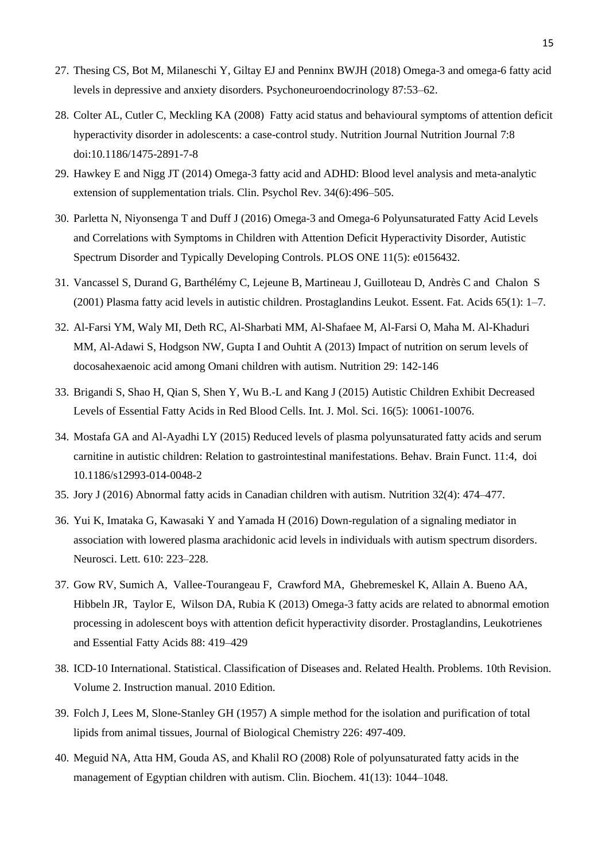- 27. Thesing CS, Bot M, Milaneschi Y, Giltay EJ and Penninx BWJH (2018) Omega-3 and omega-6 fatty acid levels in depressive and anxiety disorders. Psychoneuroendocrinology 87:53–62.
- 28. Colter AL, Cutler C, Meckling KA (2008) Fatty acid status and behavioural symptoms of attention deficit hyperactivity disorder in adolescents: a case-control study. Nutrition Journal Nutrition Journal 7:8 doi:10.1186/1475-2891-7-8
- 29. Hawkey E and Nigg JT (2014) Omega-3 fatty acid and ADHD: Blood level analysis and meta-analytic extension of supplementation trials. Clin. Psychol Rev. 34(6):496–505.
- 30. Parletta N, Niyonsenga T and Duff J (2016) Omega-3 and Omega-6 Polyunsaturated Fatty Acid Levels and Correlations with Symptoms in Children with Attention Deficit Hyperactivity Disorder, Autistic Spectrum Disorder and Typically Developing Controls. PLOS ONE 11(5): e0156432.
- 31. Vancassel S, Durand G, Barthélémy C, Lejeune B, Martineau J, Guilloteau D, Andrès C and Chalon S (2001) Plasma fatty acid levels in autistic children. Prostaglandins Leukot. Essent. Fat. Acids 65(1): 1–7.
- 32. Al-Farsi YM, Waly MI, Deth RC, Al-Sharbati MM, Al-Shafaee M, Al-Farsi O, Maha M. Al-Khaduri MM, Al-Adawi S, Hodgson NW, Gupta I and Ouhtit A (2013) Impact of nutrition on serum levels of docosahexaenoic acid among Omani children with autism. Nutrition 29: 142-146
- 33. Brigandi S, Shao H, Qian S, Shen Y, Wu B.-L and Kang J (2015) Autistic Children Exhibit Decreased Levels of Essential Fatty Acids in Red Blood Cells. Int. J. Mol. Sci. 16(5): 10061-10076.
- 34. Mostafa GA and Al-Ayadhi LY (2015) Reduced levels of plasma polyunsaturated fatty acids and serum carnitine in autistic children: Relation to gastrointestinal manifestations. Behav. Brain Funct. 11:4, doi 10.1186/s12993-014-0048-2
- 35. Jory J (2016) Abnormal fatty acids in Canadian children with autism. Nutrition 32(4): 474–477.
- 36. Yui K, Imataka G, Kawasaki Y and Yamada H (2016) Down-regulation of a signaling mediator in association with lowered plasma arachidonic acid levels in individuals with autism spectrum disorders. Neurosci. Lett*.* 610: 223–228.
- 37. Gow RV, Sumich A, Vallee-Tourangeau F, Crawford MA, Ghebremeskel K, Allain A. Bueno AA, Hibbeln JR, Taylor E, Wilson DA, Rubia K (2013) Omega-3 fatty acids are related to abnormal emotion processing in adolescent boys with attention deficit hyperactivity disorder. Prostaglandins, Leukotrienes and Essential Fatty Acids 88: 419–429
- 38. ICD-10 International. Statistical. Classification of Diseases and. Related Health. Problems. 10th Revision. Volume 2. Instruction manual. 2010 Edition.
- 39. Folch J, Lees M, Slone-Stanley GH (1957) A simple method for the isolation and purification of total lipids from animal tissues, Journal of Biological Chemistry 226: 497-409.
- 40. Meguid NA, Atta HM, Gouda AS, and Khalil RO (2008) Role of polyunsaturated fatty acids in the management of Egyptian children with autism. Clin. Biochem. 41(13): 1044–1048.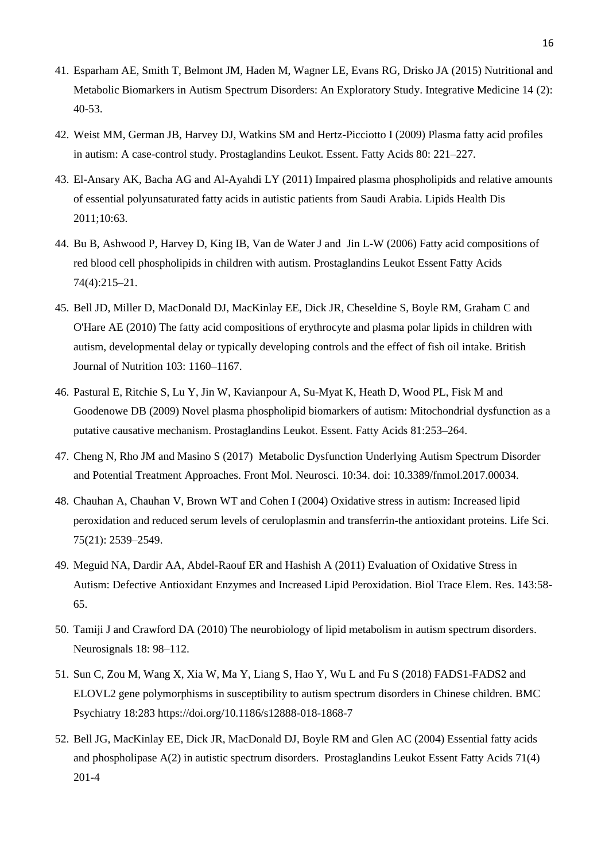- 41. Esparham AE, Smith T, Belmont JM, Haden M, Wagner LE, Evans RG, Drisko JA (2015) Nutritional and Metabolic Biomarkers in Autism Spectrum Disorders: An Exploratory Study. Integrative Medicine 14 (2): 40-53.
- 42. Weist MM, German JB, Harvey DJ, Watkins SM and Hertz-Picciotto I (2009) Plasma fatty acid profiles in autism: A case-control study. Prostaglandins Leukot. Essent. Fatty Acids 80: 221–227.
- 43. El-Ansary AK, Bacha AG and Al-Ayahdi LY (2011) Impaired plasma phospholipids and relative amounts of essential polyunsaturated fatty acids in autistic patients from Saudi Arabia. Lipids Health Dis 2011;10:63.
- 44. Bu B, Ashwood P, Harvey D, King IB, Van de Water J and Jin L-W (2006) Fatty acid compositions of red blood cell phospholipids in children with autism. Prostaglandins Leukot Essent Fatty Acids 74(4):215–21.
- 45. Bell JD, Miller D, MacDonald DJ, MacKinlay EE, Dick JR, Cheseldine S, Boyle RM, Graham C and O'Hare AE (2010) The fatty acid compositions of erythrocyte and plasma polar lipids in children with autism, developmental delay or typically developing controls and the effect of fish oil intake. British Journal of Nutrition 103: 1160–1167.
- 46. Pastural E, Ritchie S, Lu Y, Jin W, Kavianpour A, Su-Myat K, Heath D, Wood PL, Fisk M and Goodenowe DB (2009) Novel plasma phospholipid biomarkers of autism: Mitochondrial dysfunction as a putative causative mechanism. Prostaglandins Leukot. Essent. Fatty Acids 81:253–264.
- 47. Cheng N, Rho JM and Masino S (2017) Metabolic Dysfunction Underlying Autism Spectrum Disorder and Potential Treatment Approaches. Front Mol. Neurosci. 10:34. doi: 10.3389/fnmol.2017.00034.
- 48. Chauhan A, Chauhan V, Brown WT and Cohen I (2004) Oxidative stress in autism: Increased lipid peroxidation and reduced serum levels of ceruloplasmin and transferrin-the antioxidant proteins. Life Sci. 75(21): 2539–2549.
- 49. Meguid NA, Dardir AA, Abdel-Raouf ER and Hashish A (2011) Evaluation of Oxidative Stress in Autism: Defective Antioxidant Enzymes and Increased Lipid Peroxidation. Biol Trace Elem. Res. 143:58- 65.
- 50. Tamiji J and Crawford DA (2010) The neurobiology of lipid metabolism in autism spectrum disorders. Neurosignals 18: 98–112.
- 51. Sun C, Zou M, Wang X, Xia W, Ma Y, Liang S, Hao Y, Wu L and Fu S (2018) FADS1-FADS2 and ELOVL2 gene polymorphisms in susceptibility to autism spectrum disorders in Chinese children. BMC Psychiatry 18:283 https://doi.org/10.1186/s12888-018-1868-7
- 52. Bell JG, MacKinlay EE, Dick JR, MacDonald DJ, Boyle RM and Glen AC (2004) Essential fatty acids and phospholipase A(2) in autistic spectrum disorders. Prostaglandins Leukot Essent Fatty Acids 71(4) 201-4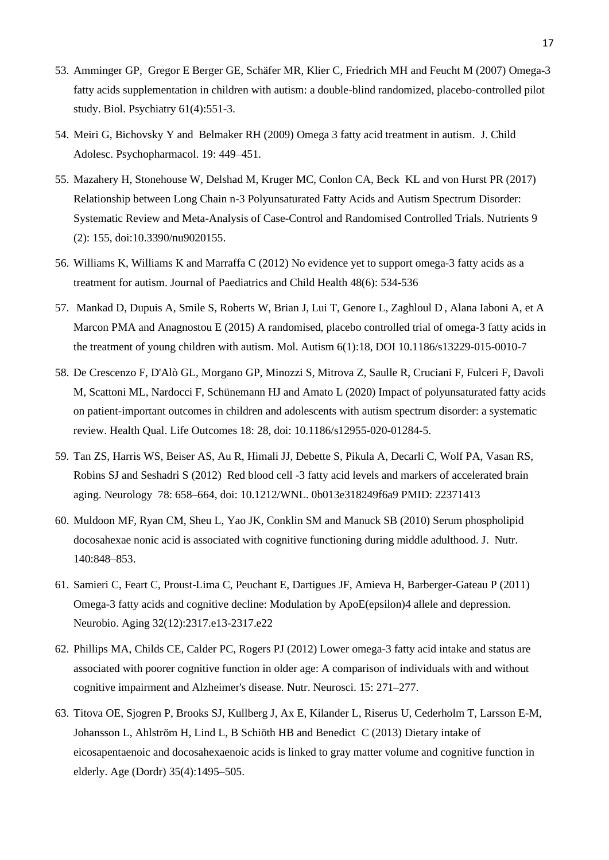- 53. Amminger GP, Gregor E Berger GE, Schäfer MR, Klier C, Friedrich MH and Feucht M (2007) Omega-3 fatty acids supplementation in children with autism: a double-blind randomized, placebo-controlled pilot study. Biol. Psychiatry 61(4):551-3.
- 54. Meiri G, Bichovsky Y and Belmaker RH (2009) Omega 3 fatty acid treatment in autism. J. Child Adolesc. Psychopharmacol. 19: 449–451.
- 55. Mazahery H, Stonehouse W, Delshad M, Kruger MC, Conlon CA, Beck KL and von Hurst PR (2017) Relationship between Long Chain n-3 Polyunsaturated Fatty Acids and Autism Spectrum Disorder: Systematic Review and Meta-Analysis of Case-Control and Randomised Controlled Trials. Nutrients 9 (2): 155, doi:10.3390/nu9020155.
- 56. Williams K, Williams K and Marraffa C (2012) No evidence yet to support omega-3 fatty acids as a treatment for autism. Journal of Paediatrics and Child Health 48(6): 534-536
- 57. Mankad D, Dupuis A, Smile S, Roberts W, Brian J, Lui T, Genore L, Zaghloul D , Alana Iaboni A, et A Marcon PMA and Anagnostou E (2015) A randomised, placebo controlled trial of omega-3 fatty acids in the treatment of young children with autism. Mol. Autism 6(1):18, DOI 10.1186/s13229-015-0010-7
- 58. De Crescenzo F, D'Alò GL, Morgano GP, Minozzi S, Mitrova Z, Saulle R, Cruciani F, Fulceri F, Davoli M, Scattoni ML, Nardocci F, Schünemann HJ and Amato L (2020) Impact of polyunsaturated fatty acids on patient-important outcomes in children and adolescents with autism spectrum disorder: a systematic review. Health Qual. Life Outcomes 18: 28, doi: 10.1186/s12955-020-01284-5.
- 59. Tan ZS, Harris WS, Beiser AS, Au R, Himali JJ, Debette S, Pikula A, Decarli C, Wolf PA, Vasan RS, Robins SJ and Seshadri S (2012) Red blood cell -3 fatty acid levels and markers of accelerated brain aging. Neurology 78: 658–664, doi: 10.1212/WNL. 0b013e318249f6a9 PMID: 22371413
- 60. Muldoon MF, Ryan CM, Sheu L, Yao JK, Conklin SM and Manuck SB (2010) Serum phospholipid docosahexae nonic acid is associated with cognitive functioning during middle adulthood. J. Nutr. 140:848–853.
- 61. Samieri C, Feart C, Proust-Lima C, Peuchant E, Dartigues JF, Amieva H, Barberger-Gateau P (2011) Omega-3 fatty acids and cognitive decline: Modulation by ApoE(epsilon)4 allele and depression. Neurobio. Aging 32(12):2317.e13-2317.e22
- 62. Phillips MA, Childs CE, Calder PC, Rogers PJ (2012) Lower omega-3 fatty acid intake and status are associated with poorer cognitive function in older age: A comparison of individuals with and without cognitive impairment and Alzheimer's disease. Nutr. Neurosci. 15: 271–277.
- 63. Titova OE, Sjogren P, Brooks SJ, Kullberg J, Ax E, Kilander L, Riserus U, Cederholm T, Larsson E-M, Johansson L, Ahlström H, Lind L, B Schiöth HB and Benedict C (2013) Dietary intake of eicosapentaenoic and docosahexaenoic acids is linked to gray matter volume and cognitive function in elderly. Age (Dordr) 35(4):1495–505.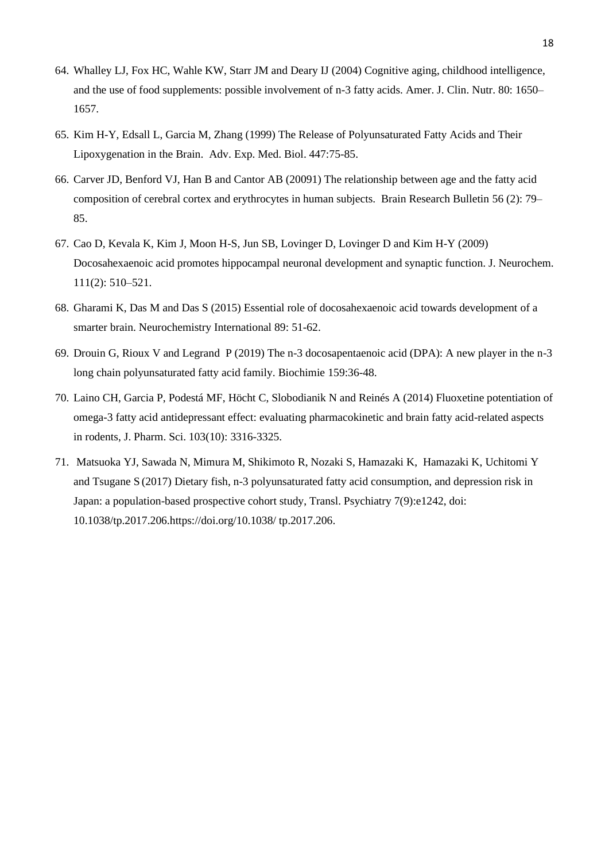- 64. Whalley LJ, Fox HC, Wahle KW, Starr JM and Deary IJ (2004) Cognitive aging, childhood intelligence, and the use of food supplements: possible involvement of n-3 fatty acids. Amer. J. Clin. Nutr. 80: 1650– 1657.
- 65. Kim H-Y, Edsall L, Garcia M, Zhang (1999) The Release of Polyunsaturated Fatty Acids and Their Lipoxygenation in the Brain. Adv. Exp. Med. Biol. 447:75-85.
- 66. Carver JD, Benford VJ, Han B and Cantor AB (20091) The relationship between age and the fatty acid composition of cerebral cortex and erythrocytes in human subjects. Brain Research Bulletin 56 (2): 79– 85.
- 67. Cao D, Kevala K, Kim J, Moon H-S, Jun SB, Lovinger D, Lovinger D and Kim H-Y (2009) Docosahexaenoic acid promotes hippocampal neuronal development and synaptic function. J. Neurochem. 111(2): 510–521.
- 68. Gharami K, Das M and Das S (2015) Essential role of docosahexaenoic acid towards development of a smarter brain. Neurochemistry International 89: 51-62.
- 69. Drouin G, Rioux V and Legrand P (2019) The n-3 docosapentaenoic acid (DPA): A new player in the n-3 long chain polyunsaturated fatty acid family. Biochimie 159:36-48.
- 70. Laino CH, Garcia P, Podestá MF, Höcht C, Slobodianik N and Reinés A (2014) Fluoxetine potentiation of omega-3 fatty acid antidepressant effect: evaluating pharmacokinetic and brain fatty acid-related aspects in rodents, J. Pharm. Sci. 103(10): 3316-3325.
- 71. Matsuoka YJ, Sawada N, Mimura M, Shikimoto R, Nozaki S, Hamazaki K, Hamazaki K, Uchitomi Y and Tsugane S (2017) Dietary fish, n-3 polyunsaturated fatty acid consumption, and depression risk in Japan: a population-based prospective cohort study, Transl. Psychiatry 7(9):e1242, doi: 10.1038/tp.2017.206.https://doi.org/10.1038/ tp.2017.206.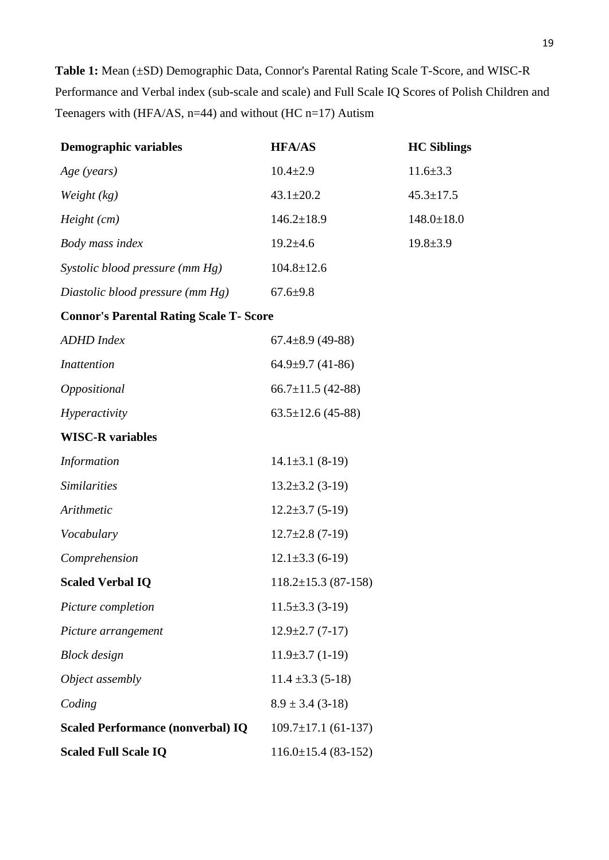**Table 1:** Mean (±SD) Demographic Data, Connor's Parental Rating Scale T-Score, and WISC-R Performance and Verbal index (sub-scale and scale) and Full Scale IQ Scores of Polish Children and Teenagers with (HFA/AS, n=44) and without (HC n=17) Autism

| <b>Demographic variables</b>                   | <b>HFA/AS</b>             | <b>HC</b> Siblings |
|------------------------------------------------|---------------------------|--------------------|
| Age (years)                                    | $10.4 \pm 2.9$            | $11.6 \pm 3.3$     |
| Weight $(kg)$                                  | $43.1 \pm 20.2$           | $45.3 \pm 17.5$    |
| Height (cm)                                    | $146.2 \pm 18.9$          | $148.0 \pm 18.0$   |
| Body mass index                                | $19.2 \pm 4.6$            | $19.8 \pm 3.9$     |
| Systolic blood pressure (mm Hg)                | $104.8 \pm 12.6$          |                    |
| Diastolic blood pressure (mm Hg)               | $67.6 \pm 9.8$            |                    |
| <b>Connor's Parental Rating Scale T- Score</b> |                           |                    |
| <b>ADHD</b> Index                              | $67.4 \pm 8.9$ (49-88)    |                    |
| <i>Inattention</i>                             | $64.9 \pm 9.7$ (41-86)    |                    |
| Oppositional                                   | $66.7 \pm 11.5$ (42-88)   |                    |
| Hyperactivity                                  | $63.5 \pm 12.6$ (45-88)   |                    |
| <b>WISC-R</b> variables                        |                           |                    |
| <b>Information</b>                             | $14.1 \pm 3.1$ (8-19)     |                    |
| <b>Similarities</b>                            | $13.2 \pm 3.2$ (3-19)     |                    |
| Arithmetic                                     | $12.2 \pm 3.7$ (5-19)     |                    |
| Vocabulary                                     | $12.7 \pm 2.8$ (7-19)     |                    |
| Comprehension                                  | $12.1 \pm 3.3$ (6-19)     |                    |
| <b>Scaled Verbal IQ</b>                        | $118.2 \pm 15.3$ (87-158) |                    |
| Picture completion                             | $11.5\pm3.3(3-19)$        |                    |
| Picture arrangement                            | $12.9 \pm 2.7$ (7-17)     |                    |
| <b>Block</b> design                            | $11.9\pm3.7(1-19)$        |                    |
| Object assembly                                | $11.4 \pm 3.3(5-18)$      |                    |
| Coding                                         | $8.9 \pm 3.4$ (3-18)      |                    |
| <b>Scaled Performance (nonverbal) IQ</b>       | $109.7 \pm 17.1$ (61-137) |                    |
| <b>Scaled Full Scale IQ</b>                    | $116.0 \pm 15.4$ (83-152) |                    |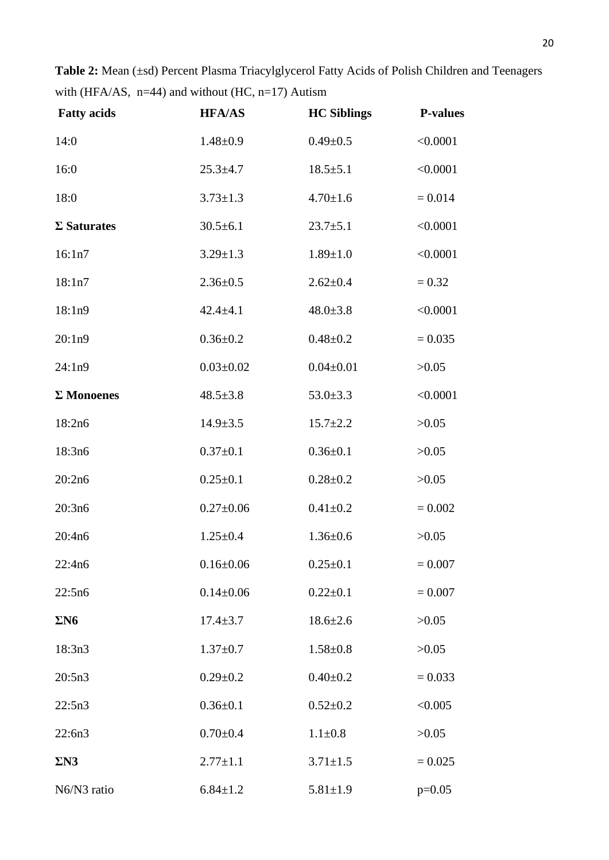Table 2: Mean (±sd) Percent Plasma Triacylglycerol Fatty Acids of Polish Children and Teenagers with (HFA/AS,  $n=44$ ) and without (HC,  $n=17$ ) Autism

| <b>Fatty acids</b> | <b>HFA/AS</b>   | <b>HC Siblings</b> | <b>P-values</b> |
|--------------------|-----------------|--------------------|-----------------|
| 14:0               | $1.48 \pm 0.9$  | $0.49 + 0.5$       | < 0.0001        |
| 16:0               | $25.3 \pm 4.7$  | $18.5 \pm 5.1$     | < 0.0001        |
| 18:0               | $3.73 \pm 1.3$  | $4.70 \pm 1.6$     | $= 0.014$       |
| $\Sigma$ Saturates | $30.5 \pm 6.1$  | $23.7 + 5.1$       | < 0.0001        |
| 16:1n7             | $3.29 \pm 1.3$  | $1.89 \pm 1.0$     | < 0.0001        |
| 18:1n7             | $2.36 \pm 0.5$  | $2.62 \pm 0.4$     | $= 0.32$        |
| 18:1n9             | $42.4 \pm 4.1$  | $48.0 \pm 3.8$     | < 0.0001        |
| 20:1n9             | $0.36 \pm 0.2$  | $0.48 + 0.2$       | $= 0.035$       |
| 24:1n9             | $0.03 \pm 0.02$ | $0.04 \pm 0.01$    | >0.05           |
| $\Sigma$ Monoenes  | $48.5 \pm 3.8$  | $53.0 \pm 3.3$     | < 0.0001        |
| 18:2n6             | $14.9 \pm 3.5$  | $15.7 \pm 2.2$     | >0.05           |
| 18:3n6             | $0.37 \pm 0.1$  | $0.36 \pm 0.1$     | >0.05           |
| 20:2n6             | $0.25 \pm 0.1$  | $0.28 + 0.2$       | >0.05           |
| 20:3n6             | $0.27 \pm 0.06$ | $0.41 + 0.2$       | $= 0.002$       |
| 20:4n6             | $1.25 \pm 0.4$  | $1.36 \pm 0.6$     | >0.05           |
| 22:4n6             | $0.16 \pm 0.06$ | $0.25 \pm 0.1$     | $= 0.007$       |
| 22:5n6             | $0.14 \pm 0.06$ | $0.22 \pm 0.1$     | $= 0.007$       |
| $\Sigma$ N6        | $17.4 \pm 3.7$  | $18.6 \pm 2.6$     | >0.05           |
| 18:3n3             | $1.37 \pm 0.7$  | $1.58 \pm 0.8$     | >0.05           |
| 20:5n3             | $0.29 \pm 0.2$  | $0.40 \pm 0.2$     | $= 0.033$       |
| 22:5n3             | $0.36 \pm 0.1$  | $0.52 \pm 0.2$     | < 0.005         |
| 22:6n3             | $0.70 \pm 0.4$  | $1.1 \pm 0.8$      | >0.05           |
| $\Sigma N3$        | $2.77 \pm 1.1$  | $3.71 \pm 1.5$     | $= 0.025$       |
| N6/N3 ratio        | $6.84 \pm 1.2$  | $5.81 \pm 1.9$     | $p=0.05$        |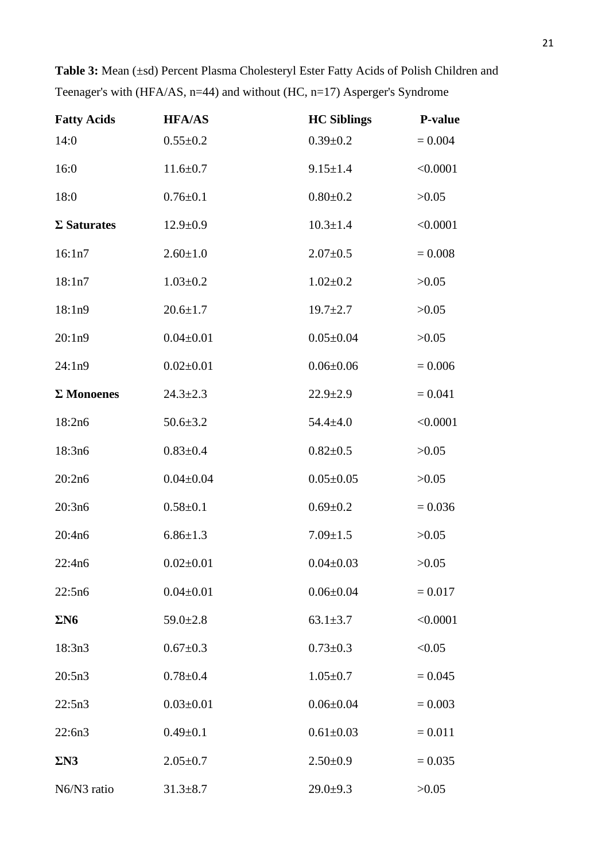| <b>Fatty Acids</b> | <b>HFA/AS</b>   | <b>HC Siblings</b> | <b>P-value</b> |
|--------------------|-----------------|--------------------|----------------|
| 14:0               | $0.55 \pm 0.2$  | $0.39 \pm 0.2$     | $= 0.004$      |
| 16:0               | $11.6 \pm 0.7$  | $9.15 \pm 1.4$     | < 0.0001       |
| 18:0               | $0.76 \pm 0.1$  | $0.80 + 0.2$       | >0.05          |
| $\Sigma$ Saturates | $12.9 \pm 0.9$  | $10.3 \pm 1.4$     | < 0.0001       |
| 16:1n7             | $2.60 \pm 1.0$  | $2.07 \pm 0.5$     | $= 0.008$      |
| 18:1n7             | $1.03 \pm 0.2$  | $1.02 \pm 0.2$     | >0.05          |
| 18:1n9             | $20.6 \pm 1.7$  | $19.7 \pm 2.7$     | >0.05          |
| 20:1n9             | $0.04 \pm 0.01$ | $0.05 \pm 0.04$    | >0.05          |
| 24:1n9             | $0.02 \pm 0.01$ | $0.06 \pm 0.06$    | $= 0.006$      |
| $\Sigma$ Monoenes  | $24.3 \pm 2.3$  | $22.9 \pm 2.9$     | $= 0.041$      |
| 18:2n6             | $50.6 \pm 3.2$  | $54.4 \pm 4.0$     | < 0.0001       |
| 18:3n6             | $0.83 \pm 0.4$  | $0.82{\pm}0.5$     | >0.05          |
| 20:2n6             | $0.04 \pm 0.04$ | $0.05 \pm 0.05$    | >0.05          |
| 20:3n6             | $0.58 + 0.1$    | $0.69 \pm 0.2$     | $= 0.036$      |
| 20:4n6             | $6.86 \pm 1.3$  | $7.09 \pm 1.5$     | >0.05          |
| 22:4n6             | $0.02 \pm 0.01$ | $0.04 \pm 0.03$    | >0.05          |
| 22:5n6             | $0.04 \pm 0.01$ | $0.06 \pm 0.04$    | $= 0.017$      |
| $\Sigma$ N6        | $59.0 \pm 2.8$  | $63.1 \pm 3.7$     | < 0.0001       |
| 18:3n3             | $0.67 \pm 0.3$  | $0.73 \pm 0.3$     | < 0.05         |
| 20:5n3             | $0.78 + 0.4$    | $1.05 \pm 0.7$     | $= 0.045$      |
| 22:5n3             | $0.03 \pm 0.01$ | $0.06 \pm 0.04$    | $= 0.003$      |
| 22:6n3             | $0.49 + 0.1$    | $0.61 \pm 0.03$    | $= 0.011$      |
| $\Sigma N3$        | $2.05 \pm 0.7$  | $2.50 \pm 0.9$     | $= 0.035$      |
| N6/N3 ratio        | $31.3 \pm 8.7$  | $29.0+9.3$         | >0.05          |

| <b>Table 3:</b> Mean (±sd) Percent Plasma Cholesteryl Ester Fatty Acids of Polish Children and |
|------------------------------------------------------------------------------------------------|
| Teenager's with $(HFA/AS, n=44)$ and without $(HC, n=17)$ Asperger's Syndrome                  |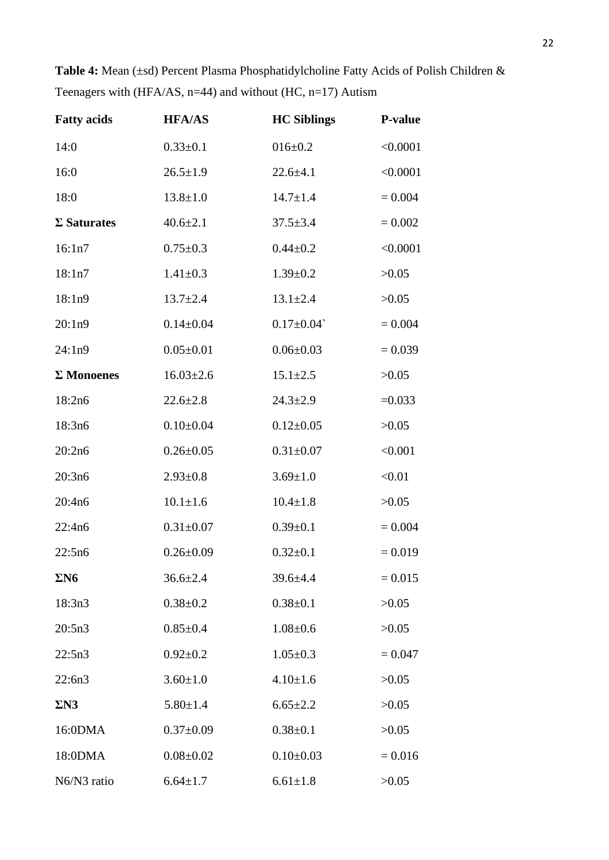| <b>Fatty acids</b> | <b>HFA/AS</b>   | <b>HC Siblings</b> | <b>P-value</b> |
|--------------------|-----------------|--------------------|----------------|
| 14:0               | $0.33 \pm 0.1$  | $016 \pm 0.2$      | < 0.0001       |
| 16:0               | $26.5 \pm 1.9$  | $22.6 + 4.1$       | < 0.0001       |
| 18:0               | $13.8 \pm 1.0$  | $14.7 \pm 1.4$     | $= 0.004$      |
| $\Sigma$ Saturates | $40.6 \pm 2.1$  | $37.5 \pm 3.4$     | $= 0.002$      |
| 16:1n7             | $0.75 \pm 0.3$  | $0.44 \pm 0.2$     | < 0.0001       |
| 18:1n7             | $1.41 \pm 0.3$  | $1.39 \pm 0.2$     | >0.05          |
| 18:1n9             | $13.7 + 2.4$    | $13.1 \pm 2.4$     | >0.05          |
| 20:1n9             | $0.14 \pm 0.04$ | $0.17 \pm 0.04$    | $= 0.004$      |
| 24:1n9             | $0.05 \pm 0.01$ | $0.06 \pm 0.03$    | $= 0.039$      |
| $\Sigma$ Monoenes  | $16.03 \pm 2.6$ | $15.1 \pm 2.5$     | >0.05          |
| 18:2n6             | $22.6 \pm 2.8$  | $24.3 \pm 2.9$     | $=0.033$       |
| 18:3n6             | $0.10 \pm 0.04$ | $0.12 \pm 0.05$    | >0.05          |
| 20:2n6             | $0.26 \pm 0.05$ | $0.31 \pm 0.07$    | < 0.001        |
| 20:3n6             | $2.93 \pm 0.8$  | $3.69 \pm 1.0$     | < 0.01         |
| 20:4n6             | $10.1 \pm 1.6$  | $10.4 \pm 1.8$     | >0.05          |
| 22:4n6             | $0.31 \pm 0.07$ | $0.39 \pm 0.1$     | $= 0.004$      |
| 22:5n6             | $0.26 \pm 0.09$ | $0.32 \pm 0.1$     | $= 0.019$      |
| $\Sigma$ N6        | $36.6 \pm 2.4$  | $39.6 \pm 4.4$     | $= 0.015$      |
| 18:3n3             | $0.38 \pm 0.2$  | $0.38 \pm 0.1$     | >0.05          |
| 20:5n3             | $0.85 \pm 0.4$  | $1.08 \pm 0.6$     | >0.05          |
| 22:5n3             | $0.92 \pm 0.2$  | $1.05 \pm 0.3$     | $= 0.047$      |
| 22:6n3             | $3.60 \pm 1.0$  | $4.10 \pm 1.6$     | >0.05          |
| $\Sigma N3$        | $5.80 \pm 1.4$  | $6.65 \pm 2.2$     | >0.05          |
| 16:0DMA            | $0.37 \pm 0.09$ | $0.38 \pm 0.1$     | >0.05          |
| 18:0DMA            | $0.08 \pm 0.02$ | $0.10 \pm 0.03$    | $= 0.016$      |
| N6/N3 ratio        | $6.64 \pm 1.7$  | $6.61 \pm 1.8$     | >0.05          |

Table 4: Mean (±sd) Percent Plasma Phosphatidylcholine Fatty Acids of Polish Children & Teenagers with (HFA/AS,  $n=44$ ) and without (HC,  $n=17$ ) Autism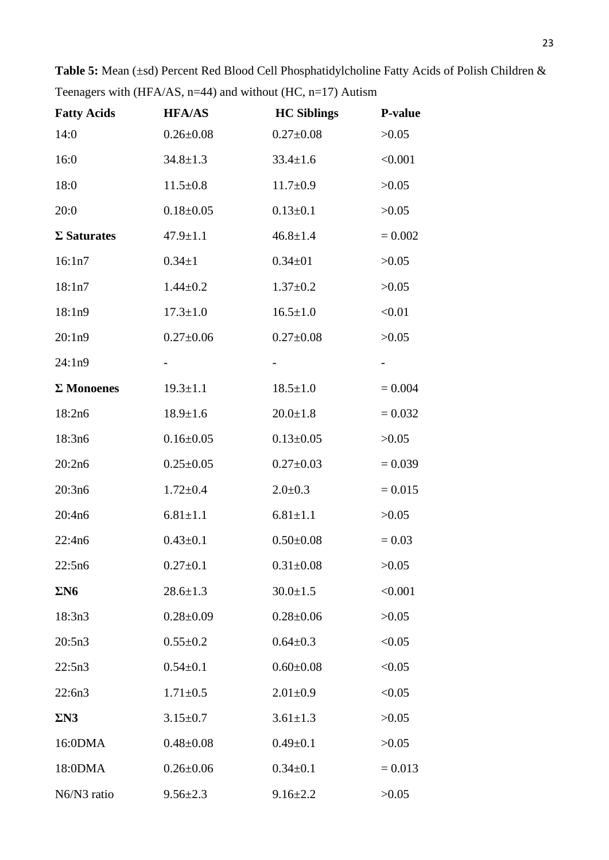| <b>Fatty Acids</b> | <b>HFA/AS</b>   | <b>HC Siblings</b> | <b>P-value</b> |
|--------------------|-----------------|--------------------|----------------|
| 14:0               | $0.26 \pm 0.08$ | $0.27 \pm 0.08$    | >0.05          |
| 16:0               | $34.8 \pm 1.3$  | $33.4 \pm 1.6$     | < 0.001        |
| 18:0               | $11.5 \pm 0.8$  | $11.7 \pm 0.9$     | >0.05          |
| 20:0               | $0.18 \pm 0.05$ | $0.13 \pm 0.1$     | >0.05          |
| $\Sigma$ Saturates | $47.9 \pm 1.1$  | $46.8 \pm 1.4$     | $= 0.002$      |
| 16:1n7             | $0.34 \pm 1$    | $0.34 \pm 01$      | >0.05          |
| 18:1n7             | $1.44 \pm 0.2$  | $1.37 \pm 0.2$     | >0.05          |
| 18:1n9             | $17.3 \pm 1.0$  | $16.5 \pm 1.0$     | < 0.01         |
| 20:1n9             | $0.27 \pm 0.06$ | $0.27 \pm 0.08$    | >0.05          |
| 24:1n9             |                 |                    | $\blacksquare$ |
| $\Sigma$ Monoenes  | $19.3 \pm 1.1$  | $18.5 \pm 1.0$     | $= 0.004$      |
| 18:2n6             | $18.9 \pm 1.6$  | $20.0 \pm 1.8$     | $= 0.032$      |
| 18:3n6             | $0.16 \pm 0.05$ | $0.13 \pm 0.05$    | >0.05          |
| 20:2n6             | $0.25 \pm 0.05$ | $0.27 \pm 0.03$    | $= 0.039$      |
| 20:3n6             | $1.72 \pm 0.4$  | $2.0 \pm 0.3$      | $= 0.015$      |
| 20:4n6             | $6.81 \pm 1.1$  | $6.81 \pm 1.1$     | >0.05          |
| 22:4n6             | $0.43 \pm 0.1$  | $0.50 \pm 0.08$    | $= 0.03$       |
| 22:5n6             | $0.27 \pm 0.1$  | $0.31 \pm 0.08$    | >0.05          |
| $\Sigma$ N6        | $28.6 \pm 1.3$  | $30.0 \pm 1.5$     | < 0.001        |
| 18:3n3             | $0.28 \pm 0.09$ | $0.28 \pm 0.06$    | >0.05          |
| 20:5n3             | $0.55 \pm 0.2$  | $0.64 \pm 0.3$     | < 0.05         |
| 22:5n3             | $0.54 \pm 0.1$  | $0.60 \pm 0.08$    | < 0.05         |
| 22:6n3             | $1.71 \pm 0.5$  | $2.01 \pm 0.9$     | < 0.05         |
| $\Sigma N3$        | $3.15 \pm 0.7$  | $3.61 \pm 1.3$     | >0.05          |
| 16:0DMA            | $0.48 \pm 0.08$ | $0.49 + 0.1$       | >0.05          |
| 18:0DMA            | $0.26 \pm 0.06$ | $0.34 \pm 0.1$     | $= 0.013$      |
| N6/N3 ratio        | $9.56 \pm 2.3$  | $9.16 \pm 2.2$     | >0.05          |

Table 5: Mean (±sd) Percent Red Blood Cell Phosphatidylcholine Fatty Acids of Polish Children & Teenagers with (HFA/AS,  $n=44$ ) and without (HC,  $n=17$ ) Autism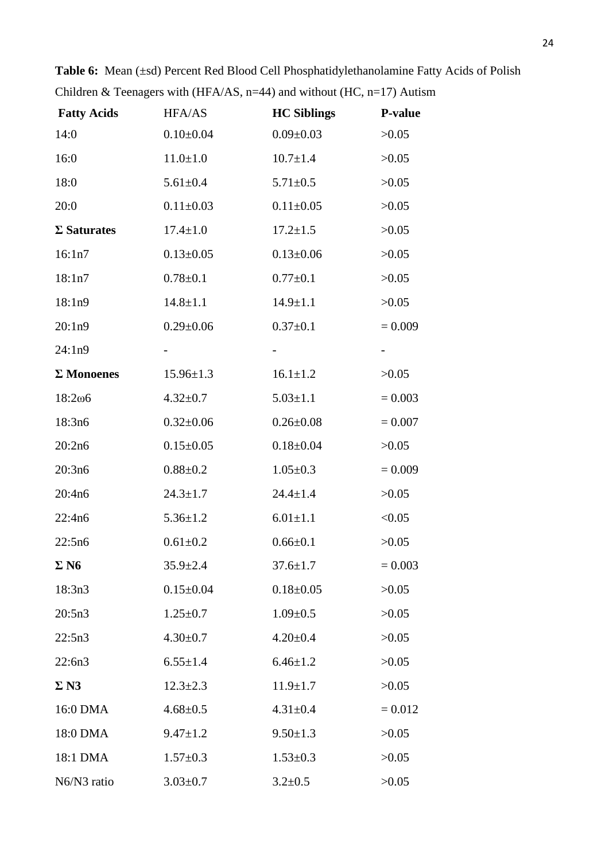| <b>Fatty Acids</b> | HFA/AS          | <b>HC Siblings</b> | P-value   |
|--------------------|-----------------|--------------------|-----------|
| 14:0               | $0.10 \pm 0.04$ | $0.09 \pm 0.03$    | >0.05     |
| 16:0               | $11.0 \pm 1.0$  | $10.7 \pm 1.4$     | >0.05     |
| 18:0               | $5.61 \pm 0.4$  | $5.71 \pm 0.5$     | >0.05     |
| 20:0               | $0.11 \pm 0.03$ | $0.11 \pm 0.05$    | >0.05     |
| $\Sigma$ Saturates | $17.4 \pm 1.0$  | $17.2 \pm 1.5$     | >0.05     |
| 16:1n7             | $0.13 \pm 0.05$ | $0.13 \pm 0.06$    | >0.05     |
| 18:1n7             | $0.78 + 0.1$    | $0.77 \pm 0.1$     | >0.05     |
| 18:1n9             | $14.8 \pm 1.1$  | $14.9 \pm 1.1$     | >0.05     |
| 20:1n9             | $0.29 \pm 0.06$ | $0.37 \pm 0.1$     | $= 0.009$ |
| 24:1n9             |                 |                    |           |
| $\Sigma$ Monoenes  | $15.96 \pm 1.3$ | $16.1 \pm 1.2$     | >0.05     |
| 18:2006            | $4.32 \pm 0.7$  | $5.03 \pm 1.1$     | $= 0.003$ |
| 18:3n6             | $0.32 \pm 0.06$ | $0.26 \pm 0.08$    | $= 0.007$ |
| 20:2n6             | $0.15 \pm 0.05$ | $0.18 \pm 0.04$    | >0.05     |
| 20:3n6             | $0.88 + 0.2$    | $1.05 \pm 0.3$     | $= 0.009$ |
| 20:4n6             | $24.3 \pm 1.7$  | $24.4 \pm 1.4$     | >0.05     |
| 22:4n6             | $5.36 \pm 1.2$  | $6.01 \pm 1.1$     | < 0.05    |
| 22:5n6             | $0.61 + 0.2$    | $0.66 \pm 0.1$     | >0.05     |
| $\Sigma$ N6        | $35.9 \pm 2.4$  | $37.6 \pm 1.7$     | $= 0.003$ |
| 18:3n3             | $0.15 \pm 0.04$ | $0.18 \pm 0.05$    | >0.05     |
| 20:5n3             | $1.25 \pm 0.7$  | $1.09 \pm 0.5$     | >0.05     |
| 22:5n3             | $4.30 \pm 0.7$  | $4.20 \pm 0.4$     | >0.05     |
| 22:6n3             | $6.55 \pm 1.4$  | $6.46 \pm 1.2$     | >0.05     |
| $\Sigma$ N3        | $12.3 \pm 2.3$  | $11.9 \pm 1.7$     | >0.05     |
| 16:0 DMA           | $4.68 \pm 0.5$  | $4.31 \pm 0.4$     | $= 0.012$ |
| 18:0 DMA           | $9.47 \pm 1.2$  | $9.50 \pm 1.3$     | >0.05     |
| 18:1 DMA           | $1.57 \pm 0.3$  | $1.53 \pm 0.3$     | >0.05     |
| N6/N3 ratio        | $3.03 \pm 0.7$  | $3.2 \pm 0.5$      | >0.05     |

Table 6: Mean (±sd) Percent Red Blood Cell Phosphatidylethanolamine Fatty Acids of Polish Children & Teenagers with (HFA/AS,  $n=44$ ) and without (HC,  $n=17$ ) Autism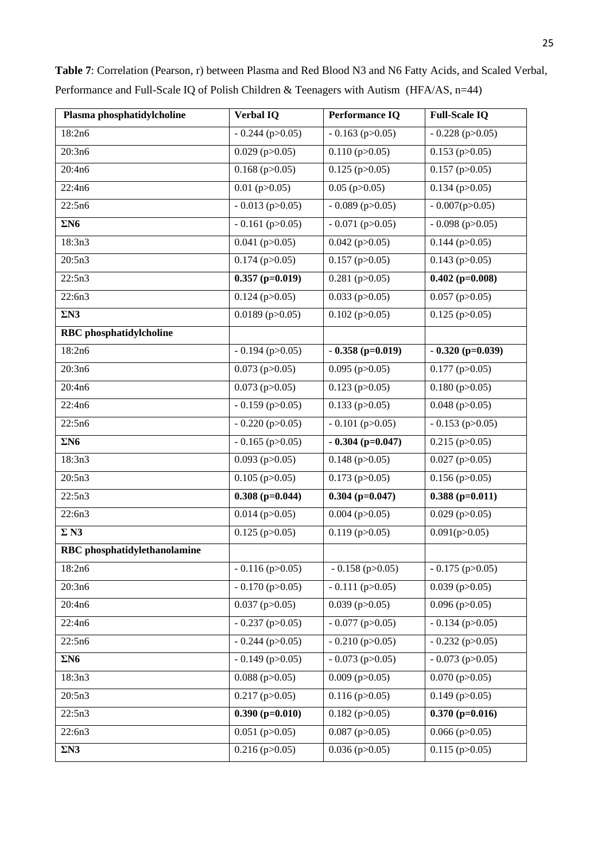| Plasma phosphatidylcholine          | <b>Verbal IQ</b>            | <b>Performance IQ</b> | <b>Full-Scale IQ</b>        |
|-------------------------------------|-----------------------------|-----------------------|-----------------------------|
| 18:2n6                              | $-0.244$ (p $>0.05$ )       | $-0.163$ (p $>0.05$ ) | $-0.228$ (p $>0.05$ )       |
| 20:3n6                              | $0.029$ (p $>0.05$ )        | $0.110$ (p $>0.05$ )  | $0.153$ (p $>0.05$ )        |
| 20:4n6                              | $0.168$ (p $>0.05$ )        | $0.125$ (p $>0.05$ )  | $\overline{0.157}$ (p>0.05) |
| 22:4n6                              | $0.01$ (p $>0.05$ )         | $0.05$ (p $>0.05$ )   | $0.134$ (p $>0.05$ )        |
| 22:5n6                              | $-0.013$ (p $>0.05$ )       | $-0.089$ (p>0.05)     | $-0.007(p>0.05)$            |
| $\Sigma$ N6                         | $-0.161$ (p $>0.05$ )       | $-0.071$ (p $>0.05$ ) | $-0.098$ (p $>0.05$ )       |
| 18:3n3                              | $0.041$ (p $>0.05$ )        | $0.042$ (p $>0.05$ )  | $0.144$ (p $>0.05$ )        |
| 20:5n3                              | $0.174$ (p $>0.05$ )        | $0.157$ (p $>0.05$ )  | $0.143$ (p $>0.05$ )        |
| 22:5n3                              | $0.357$ (p=0.019)           | $0.281$ (p $>0.05$ )  | $0.402$ (p=0.008)           |
| 22:6n3                              | $0.124$ (p $>0.05$ )        | $0.033$ (p $>0.05$ )  | $0.057$ (p $>0.05$ )        |
| $\Sigma N3$                         | $0.0189$ (p $>0.05$ )       | $0.102$ (p $>0.05$ )  | $0.125$ (p $>0.05$ )        |
| <b>RBC</b> phosphatidylcholine      |                             |                       |                             |
| 18:2n6                              | $-0.194$ (p $>0.05$ )       | $-0.358$ (p=0.019)    | $-0.320$ (p=0.039)          |
| 20:3n6                              | $0.073$ (p $>0.05$ )        | $0.095$ (p $>0.05$ )  | $0.177$ (p $>0.05$ )        |
| 20:4n6                              | $0.073$ (p $>0.05$ )        | $0.123$ (p $>0.05$ )  | $0.180$ (p $>0.05$ )        |
| 22:4n6                              | $-0.159$ (p $>0.05$ )       | $0.133$ (p $>0.05$ )  | $0.048$ (p $>0.05$ )        |
| 22:5n6                              | $-0.220$ (p $>0.05$ )       | $-0.101$ (p $>0.05$ ) | $-0.153$ (p $>0.05$ )       |
| $\Sigma$ N6                         | $-0.165$ (p $>0.05$ )       | $-0.304$ (p=0.047)    | $0.215$ (p $>0.05$ )        |
| 18:3n3                              | $0.093$ (p $>0.05$ )        | $0.148$ (p $>0.05$ )  | $0.027$ (p $>0.05$ )        |
| 20:5n3                              | $0.105$ (p $>0.05$ )        | $0.173$ (p $>0.05$ )  | $0.156$ (p $>0.05$ )        |
| 22:5n3                              | $0.308$ (p=0.044)           | $0.304$ (p=0.047)     | $0.388(p=0.011)$            |
| 22:6n3                              | $0.014$ (p $>0.05$ )        | $0.004$ (p $>0.05$ )  | $0.029$ (p $>0.05$ )        |
| $\Sigma$ N3                         | $0.125$ (p $>0.05$ )        | $0.119$ (p $>0.05$ )  | 0.091(p>0.05)               |
| <b>RBC</b> phosphatidylethanolamine |                             |                       |                             |
| 18:2n6                              | $-0.116$ (p $>0.05$ )       | $-0.158$ (p $>0.05$ ) | $-0.175$ (p $>0.05$ )       |
| 20:3n6                              | $-0.170$ (p $>0.05$ )       | $-0.111$ (p $>0.05$ ) | $0.039$ (p $>0.05$ )        |
| 20:4n6                              | $0.037$ (p $>0.05$ )        | $0.039$ (p $>0.05$ )  | $0.096$ (p $>0.05$ )        |
| 22:4n6                              | $-0.237$ (p $>0.05$ )       | $-0.077$ (p $>0.05$ ) | $-0.134$ (p $>0.05$ )       |
| 22:5n6                              | $-0.244$ (p $>0.05$ )       | $-0.210$ (p $>0.05$ ) | $-0.232$ (p $>0.05$ )       |
| $\Sigma$ N6                         | $-0.149$ (p $>0.05$ )       | $-0.073$ (p $>0.05$ ) | $-0.073$ (p $>0.05$ )       |
| 18:3n3                              | $\overline{0.088}$ (p>0.05) | $0.009$ (p $>0.05$ )  | $0.070$ (p $>0.05$ )        |
| 20:5n3                              | $0.217$ (p $>0.05$ )        | $0.116$ (p $>0.05$ )  | $0.149$ (p $>0.05$ )        |
| 22:5n3                              | $0.390$ (p=0.010)           | $0.182$ (p $>0.05$ )  | $0.370$ (p=0.016)           |
| 22:6n3                              | $0.051$ (p $>0.05$ )        | $0.087$ (p $>0.05$ )  | $0.066$ (p $>0.05$ )        |
| $\Sigma N3$                         | $0.216$ (p $>0.05$ )        | $0.036$ (p $>0.05$ )  | $0.115$ (p $>0.05$ )        |

**Table 7**: Correlation (Pearson, r) between Plasma and Red Blood N3 and N6 Fatty Acids, and Scaled Verbal, Performance and Full-Scale IQ of Polish Children & Teenagers with Autism (HFA/AS, n=44)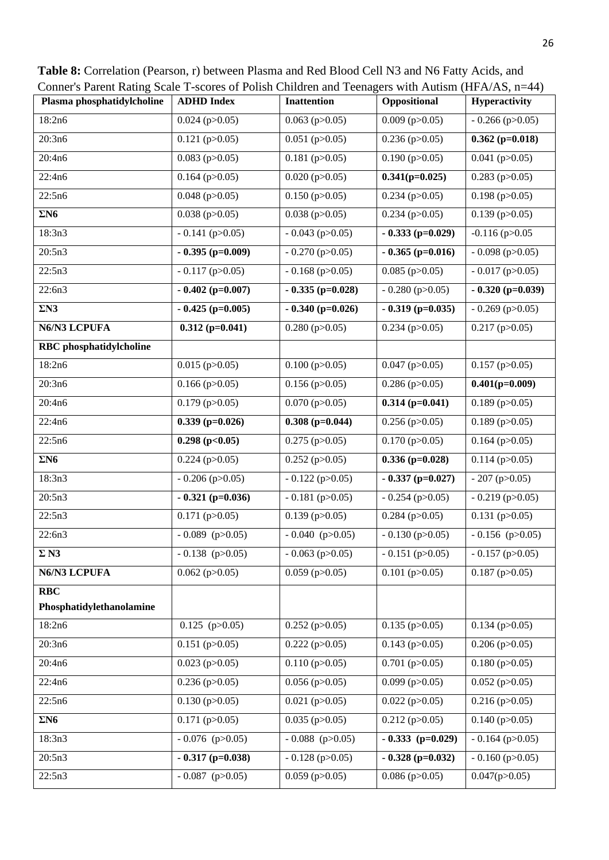**Table 8:** Correlation (Pearson, r) between Plasma and Red Blood Cell N3 and N6 Fatty Acids, and Conner's Parent Rating Scale T-scores of Polish Children and Teenagers with Autism (HFA/AS, n=44)

| Plasma phosphatidylcholine     | <b>ADHD</b> Index     | <b>Inattention</b>    | Oppositional          | Hyperactivity         |
|--------------------------------|-----------------------|-----------------------|-----------------------|-----------------------|
| 18:2n6                         | $0.024$ (p $>0.05$ )  | $0.063$ (p $>0.05$ )  | $0.009$ (p $>0.05$ )  | $-0.266$ (p $>0.05$ ) |
| 20:3n6                         | $0.121$ (p $>0.05$ )  | $0.051$ (p $>0.05$ )  | $0.236$ (p $>0.05$ )  | $0.362$ (p=0.018)     |
| 20:4n6                         | $0.083$ (p $>0.05$ )  | $0.181$ (p $>0.05$ )  | $0.190$ (p $>0.05$ )  | $0.041$ (p $>0.05$ )  |
| 22:4n6                         | $0.164$ (p $>0.05$ )  | $0.020$ (p $>0.05$ )  | $0.341(p=0.025)$      | $0.283$ (p $>0.05$ )  |
| 22:5n6                         | $0.048$ (p $>0.05$ )  | $0.150$ (p $>0.05$ )  | $0.234$ (p $>0.05$ )  | $0.198$ (p $>0.05$ )  |
| $\Sigma$ N6                    | $0.038$ (p $>0.05$ )  | $0.038$ (p $>0.05$ )  | $0.234$ (p $>0.05$ )  | $0.139$ (p $>0.05$ )  |
| 18:3n3                         | $-0.141$ (p $>0.05$ ) | $-0.043$ (p $>0.05$ ) | $-0.333$ (p=0.029)    | $-0.116$ (p $>0.05$   |
| 20:5n3                         | $-0.395$ (p=0.009)    | $-0.270$ (p $>0.05$ ) | $-0.365$ (p=0.016)    | $-0.098$ (p $>0.05$ ) |
| 22:5n3                         | $-0.117$ (p $>0.05$ ) | $-0.168$ (p $>0.05$ ) | $0.085$ (p $>0.05$ )  | $-0.017$ (p $>0.05$ ) |
| 22:6n3                         | $-0.402$ (p=0.007)    | $-0.335$ (p=0.028)    | $-0.280$ (p $>0.05$ ) | $-0.320$ (p=0.039)    |
| $\Sigma N3$                    | $-0.425$ (p=0.005)    | $-0.340$ (p=0.026)    | $-0.319$ (p=0.035)    | $-0.269$ (p $>0.05$ ) |
| N6/N3 LCPUFA                   | $0.312$ (p=0.041)     | $0.280$ (p $>0.05$ )  | $0.234$ (p $>0.05$ )  | $0.217$ (p $>0.05$ )  |
| <b>RBC</b> phosphatidylcholine |                       |                       |                       |                       |
| 18:2n6                         | $0.015$ (p $>0.05$ )  | $0.100$ (p $>0.05$ )  | $0.047$ (p $>0.05$ )  | $0.157$ (p $>0.05$ )  |
| 20:3n6                         | $0.166$ (p $>0.05$ )  | $0.156$ (p $>0.05$ )  | $0.286$ (p $>0.05$ )  | $0.401(p=0.009)$      |
| 20:4n6                         | $0.179$ (p $>0.05$ )  | $0.070$ (p $>0.05$ )  | $0.314$ (p=0.041)     | $0.189$ (p $>0.05$ )  |
| 22:4n6                         | $0.339$ (p=0.026)     | $0.308$ (p=0.044)     | $0.256$ (p $>0.05$ )  | $0.189$ (p $>0.05$ )  |
| 22:5n6                         | $0.298$ (p<0.05)      | $0.275$ (p $>0.05$ )  | $0.170$ (p $>0.05$ )  | $0.164$ (p $>0.05$ )  |
| $\Sigma$ N6                    | $0.224$ (p $>0.05$ )  | $0.252$ (p $>0.05$ )  | $0.336$ (p=0.028)     | $0.114$ (p $>0.05$ )  |
| 18:3n3                         | $-0.206$ (p $>0.05$ ) | $-0.122$ (p $>0.05$ ) | $-0.337$ (p=0.027)    | $-207$ (p $>0.05$ )   |
| 20:5n3                         | $-0.321$ (p=0.036)    | $-0.181$ (p $>0.05$ ) | $-0.254$ (p $>0.05$ ) | $-0.219$ (p $>0.05$ ) |
| 22:5n3                         | $0.171$ (p $>0.05$ )  | $0.139$ (p $>0.05$ )  | $0.284$ (p $>0.05$ )  | $0.131$ (p $>0.05$ )  |
| 22:6n3                         | $-0.089$ (p $>0.05$ ) | $-0.040$ (p>0.05)     | $-0.130$ (p $>0.05$ ) | $-0.156$ (p $>0.05$ ) |
| $\Sigma$ N3                    | $-0.138$ (p>0.05)     | $-0.063$ (p $>0.05$ ) | $-0.151$ (p $>0.05$ ) | $-0.157$ (p $>0.05$ ) |
| N6/N3 LCPUFA                   | $0.062$ (p $>0.05$ )  | $0.059$ (p $>0.05$ )  | $0.101$ (p $>0.05$ )  | $0.187$ (p $>0.05$ )  |
| <b>RBC</b>                     |                       |                       |                       |                       |
| Phosphatidylethanolamine       |                       |                       |                       |                       |
| 18:2n6                         | $0.125$ (p $>0.05$ )  | $0.252$ (p $>0.05$ )  | $0.135$ (p $>0.05$ )  | $0.134$ (p $>0.05$ )  |
| 20:3n6                         | $0.151$ (p $>0.05$ )  | $0.222$ (p $>0.05$ )  | $0.143$ (p $>0.05$ )  | $0.206$ (p $>0.05$ )  |
| 20:4n6                         | $0.023$ (p $>0.05$ )  | $0.110$ (p $>0.05$ )  | $0.701$ (p $>0.05$ )  | $0.180$ (p $>0.05$ )  |
| 22:4n6                         | $0.236$ (p $>0.05$ )  | $0.056$ (p $>0.05$ )  | $0.099$ (p $>0.05$ )  | $0.052$ (p $>0.05$ )  |
| 22:5n6                         | $0.130$ (p $>0.05$ )  | $0.021$ (p $>0.05$ )  | $0.022$ (p $>0.05$ )  | $0.216$ (p $>0.05$ )  |
| $\Sigma$ N6                    | $0.171$ (p $>0.05$ )  | $0.035$ (p $>0.05$ )  | $0.212$ (p $>0.05$ )  | $0.140$ (p $>0.05$ )  |
| 18:3n3                         | $-0.076$ (p $>0.05$ ) | $-0.088$ (p $>0.05$ ) | $-0.333$ (p=0.029)    | $-0.164$ (p $>0.05$ ) |
| 20:5n3                         | $-0.317$ (p=0.038)    | $-0.128$ (p $>0.05$ ) | $-0.328$ (p=0.032)    | $-0.160$ (p $>0.05$ ) |
| 22:5n3                         | $-0.087$ (p $>0.05$ ) | $0.059$ (p $>0.05$ )  | $0.086$ (p $>0.05$ )  | 0.047(p>0.05)         |